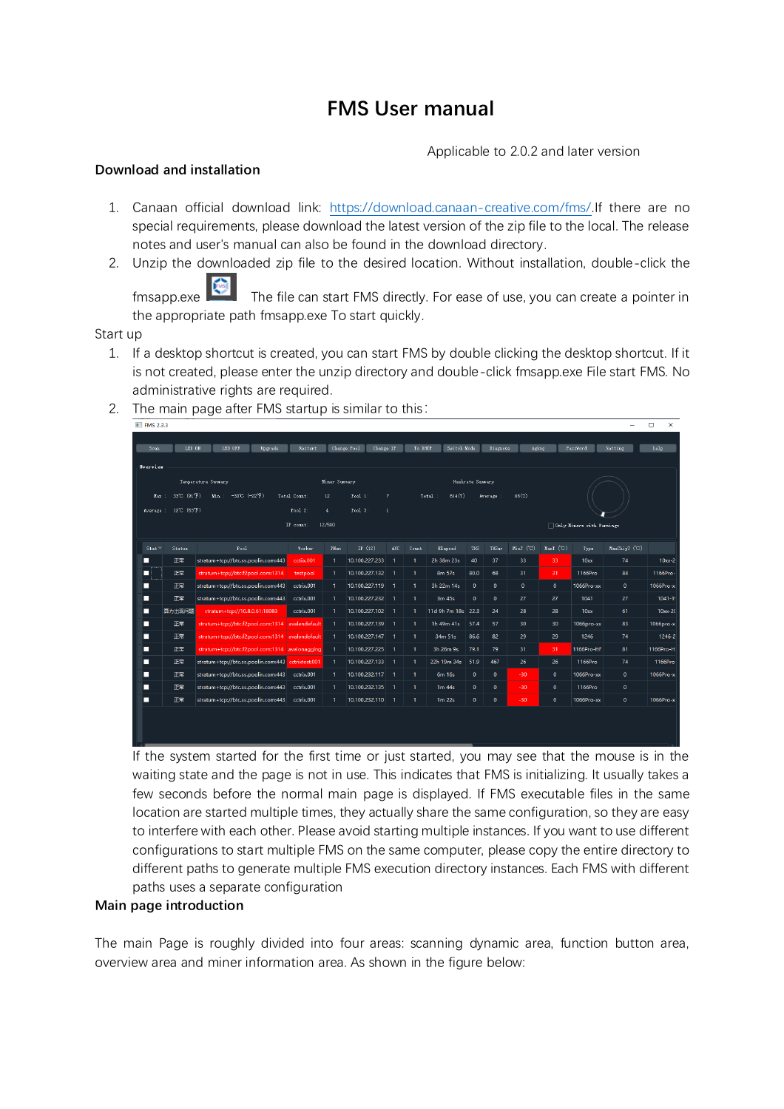# **FMS User manual**

Applicable to 2.0.2 and later version

## **Download and installation**

- 1. Canaan official download link: [https://download.canaan-creative.com/fms/.](https://download.canaan-creative.com/fms/)If there are no special requirements, please download the latest version of the zip file to the local. The release notes and user's manual can also be found in the download directory.
- 2. Unzip the downloaded zip file to the desired location. Without installation, double-click the

fmsapp.exe The file can start FMS directly. For ease of use, you can create a pointer in the appropriate path fmsapp.exe To start quickly.

Start up

- 1. If a desktop shortcut is created, you can start FMS by double clicking the desktop shortcut. If it is not created, please enter the unzip directory and double-click fmsapp.exe File start FMS. No administrative rights are required.
- 2. The main page after FMS startup is similar to this:

| $\blacksquare$ FMS 2.3.3<br>Sean | LED ON       | LED OFF<br>Upgrade                              | Restart              |               | Change Pool<br>Change IP     |                              | To DHCP      | Switch Mode           |                  | Diagnose     | Aging          |                | PassWord                  | Setting            | х<br>help   |  |
|----------------------------------|--------------|-------------------------------------------------|----------------------|---------------|------------------------------|------------------------------|--------------|-----------------------|------------------|--------------|----------------|----------------|---------------------------|--------------------|-------------|--|
|                                  | Overvier     |                                                 |                      |               |                              |                              |              |                       |                  |              |                |                |                           |                    |             |  |
|                                  |              | Temperature Summary                             |                      | Miner Sunnary |                              |                              |              |                       | Hashrate Sunnary |              |                |                |                           |                    |             |  |
| Max: :                           | 33°C (91°F)  | $-30^{\circ}$ C (-22°F)<br>Min :                | Total Count:         | 12            | Pool:                        | $\overline{7}$               |              | Total:<br>814(T)      |                  | Average :    | 68(T)          |                |                           |                    |             |  |
| Average :                        | 12°C (53°F)  |                                                 | Pool $2$ :           | $\Phi$        | Pool $3$ :<br>$\overline{1}$ |                              |              |                       |                  |              |                |                |                           |                    |             |  |
|                                  |              |                                                 | IP count:            | 12/510        |                              |                              |              |                       |                  |              |                |                | Only Miners with Warnings |                    |             |  |
|                                  |              |                                                 |                      |               |                              |                              |              |                       |                  |              |                |                |                           |                    |             |  |
| Stat<br>п                        | Status<br>正常 | Pool<br>stratum+tcp://btc.ss.poolin.com:443     | Worker<br>cctiix.001 | PNun<br>1.    | IP $(12)$<br>10.100.227.233  | <b>AUC</b><br>$\overline{1}$ | Count<br>1.  | Elapzed<br>2h 38m 23s | <b>THS</b><br>40 | THS av<br>37 | MinT (C)<br>33 | HarT (C)<br>33 | Type<br>10 <sub>xx</sub>  | MaxChipT (C)<br>74 | $10xx-2$    |  |
| □                                | 正常           | stratum+tcp://btc.f2pool.com:1314               | testpool             | 1             | 10.100.227.132               | $\overline{1}$               | $\mathbf{1}$ | 8m 57s                | 80.0             | 68           | 31             | 31             | 1166Pro                   | 84                 | 1166Pro-    |  |
| □                                | 正常           | stratum+tcp://btc.ss.poolin.com:443             | cctrix.001           | 1.            | 10.100.227.119               | $\overline{1}$               | 1.           | 3h 22m 14s            | $\mathbf{0}$     | $\bullet$    | $\bullet$      | $\mathbf 0$    | 1066Pro-xx                | $\mathbf{0}$       | 1066Pro-x   |  |
| п                                | 正常           | stratum+tcp://btc.ss.poolin.com:443             | cctrix.001           | 1.            | 10.100.227.232               | $\overline{1}$               | $\mathbf{1}$ | 3m 45s                | $\mathbf{0}$     | $\bullet$    | 27             | 27             | 1041                      | 27                 | $1041 - 1!$ |  |
| □                                | 算力出现问题       | stratum+tcp://10.8.0.61:18083                   | cctrix.001           | 1             | 10.100.227.102               | $\overline{1}$               | 1.           | 11d 9h 7m 18s 22.3    |                  | 24           | 28             | 28             | 10 <sub>xx</sub>          | 61                 | $10xx-20$   |  |
| п                                | 正常           | stratum+tcp://btc.f2pool.com:1314 avalendefault |                      | 1.            | 10.100.227.139               | $\overline{1}$               | $\mathbf{1}$ | 1h 49m 41s            | 57.4             | 57           | 30             | 30             | 1066pro-xx                | 83                 | 1066pro-x   |  |
| п                                | 正常           | stratum+tcp://btc.f2pool.com:1314 avalendefault |                      | 1.            | 10.100.227.147               | $\overline{1}$               | $\mathbf{1}$ | 34m 51s               | 86.6             | 82           | 29             | 29             | 1246                      | 74                 | 1246-2      |  |
| П                                | 正常           | stratum+tcp://btc.f2pool.com:1314 avalonagging  |                      | 1             | 10.100.227.225               | $\overline{1}$               | $\mathbf{1}$ | 3h 26m 9s             | 79.1             | 79           | 31             | 31             | 1166Pro-HF                | 81                 | 1166Pro-H   |  |
| п                                | 正常           | stratum+tcp://btc.ss.poolin.com:443             | cctrixtest.001       | 1.            | 10.100.227.133               | -1                           | $\mathbf{1}$ | 22h 19m 34s           | 51.9             | 467          | 26             | 26             | 1166Pro                   | 74                 | 1166Pro     |  |
| П                                | 正常           | stratum+tcp://btc.ss.poolin.com:443             | cctrix.001           | $\mathbf{1}$  | 10.100.232.117               | $\overline{1}$               | $\mathbf{1}$ | 6m 16s                | $\mathbf 0$      | $\bullet$    | $-30$          | $\bullet$      | 1066Pro-xx                | $\mathbf 0$        | 1066Pro-x   |  |
| П                                | 正常           | stratum+tcp://btc.ss.poolin.com:443             | cctrix.001           | 1             | 10.100.232.135               | $\overline{1}$               | $\mathbf{1}$ | 1 <sub>m</sub> 44s    | $\bullet$        | $\bullet$    | $-30$          | $\bullet$      | 1166Pro                   | $\pmb{\mathsf{o}}$ |             |  |
| п                                | 正常           | stratum+tcp://btc.ss.poolin.com:443             | cctrix.001           | 1             | 10.100.232.110               | -1                           | $\mathbf{1}$ | 1 <sub>m</sub> 22s    | $\bullet$        | $\mathbf{0}$ | $-30$          | $\bullet$      | 1066Pro-xx                | $\mathbf{0}$       | 1066Pro-x   |  |
|                                  |              |                                                 |                      |               |                              |                              |              |                       |                  |              |                |                |                           |                    |             |  |
|                                  |              |                                                 |                      |               |                              |                              |              |                       |                  |              |                |                |                           |                    |             |  |
|                                  |              |                                                 |                      |               |                              |                              |              |                       |                  |              |                |                |                           |                    |             |  |

If the system started for the first time or just started, you may see that the mouse is in the waiting state and the page is not in use. This indicates that FMS is initializing. It usually takes a few seconds before the normal main page is displayed. If FMS executable files in the same location are started multiple times, they actually share the same configuration, so they are easy to interfere with each other. Please avoid starting multiple instances. If you want to use different configurations to start multiple FMS on the same computer, please copy the entire directory to different paths to generate multiple FMS execution directory instances. Each FMS with different paths uses a separate configuration

## **Main page introduction**

The main Page is roughly divided into four areas: scanning dynamic area, function button area, overview area and miner information area. As shown in the figure below: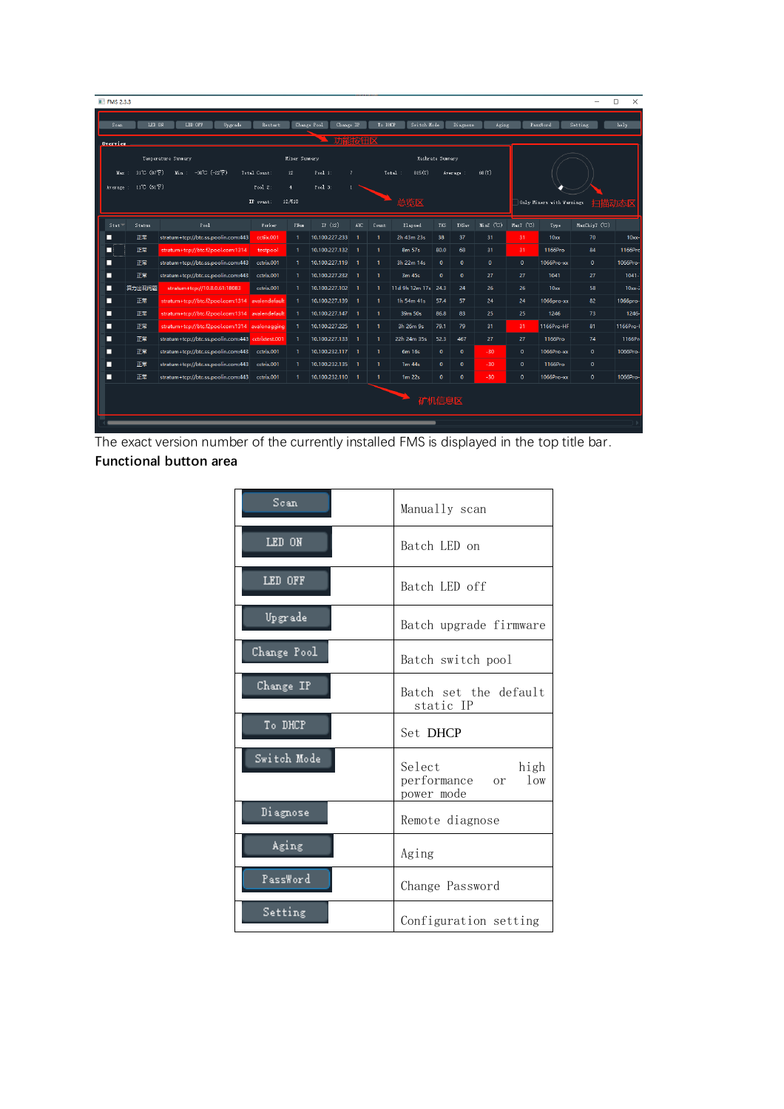| <b>III</b> FMS 2.3.3                                    |       |                      |                                                    |                      |                |                          |                |                       |                       |                  |              |           |             |                          |               | $\Box$<br>$\times$ |
|---------------------------------------------------------|-------|----------------------|----------------------------------------------------|----------------------|----------------|--------------------------|----------------|-----------------------|-----------------------|------------------|--------------|-----------|-------------|--------------------------|---------------|--------------------|
|                                                         | Sean  | LED ON               | LED OFF<br>Upgrade                                 | Restart              |                | Change Pool<br>Change IP |                | To DHCP               | Switch Hode           |                  | Diagnose     | Aging     |             | PassWord                 | Setting       | $h$ elp            |
|                                                         | 功能按钮区 |                      |                                                    |                      |                |                          |                |                       |                       |                  |              |           |             |                          |               |                    |
| Overview.                                               |       |                      |                                                    |                      |                |                          |                |                       |                       |                  |              |           |             |                          |               |                    |
|                                                         |       |                      | Tenperature Summary                                |                      | Hiner Sunnary  |                          |                |                       |                       | Hashrate Summary |              |           |             |                          |               |                    |
|                                                         |       | Max: 31°C (87°F)     | $Min: -30^{\circ}C (-22^{\circ}F)$                 | Total Count:         | 12             | Pool:                    | $\overline{7}$ |                       | Total:<br>815(T)      |                  | Average :    | 68(T)     |             |                          |               |                    |
|                                                         |       | Average: 11°C (51°F) |                                                    | Pool $2$ :           | $\overline{4}$ | $Pool$ 3:                |                |                       |                       |                  |              |           |             |                          |               |                    |
| 12/510<br>总览区<br>IP count:<br>Only Miners with Warnings |       |                      |                                                    |                      |                |                          |                |                       | 扫扫<br>苗动              |                  |              |           |             |                          |               |                    |
|                                                         |       |                      | $_{\rm{Pool}}$                                     |                      |                | IP $(12)$                |                |                       |                       |                  |              | MinT (C)  | MaxT ('C)   |                          | MaxChipT (°C) |                    |
| п                                                       | Stat  | Status<br>正常         | stratum+tcp://btc.ss.poolin.com:443                | Worker<br>cctiix.001 | PNum           | 10.100.227.233           | <b>AUC</b>     | Count<br>$\mathbf{1}$ | Elapzed<br>2h 43m 23s | THS<br>38        | THS av<br>37 | 31        | 31          | Type<br>10 <sub>xx</sub> | 70            | $10x -$            |
| П                                                       |       | 正常                   | stratum+tcp://btc.f2pool.com:1314                  | testpool             |                | 10.100.227.132           |                | $\mathbf{1}$          | 8m 57s                | 80.0             | 68           | 31        | 31          | 1166Pro                  | 84            | 1166Prc            |
| ш                                                       |       | 正常                   | stratum+tcp://btc.ss.poolin.com:443                | cctrix.001           | $\mathbf{1}$   | 10.100.227.119           | - 1            | $\mathbf{1}$          | 3h 22m 14s            | $\mathbf{0}$     | $\mathbf 0$  | $\bullet$ | $\bullet$   | 1066Pro-xx               | $\bullet$     | 1066Pro-           |
| п                                                       |       | 正常                   | stratum+tcp://btc.ss.poolin.com:443                | cctrix.001           | -1             | 10.100.227.232           | -1             | $\mathbf{1}$          | 3m 45s                | $\mathbf{0}$     | $\bullet$    | 27        | 27          | 1041                     | 27            | $1041 -$           |
| п                                                       |       | 算力出现问题               | stratum+tcp://10.8.0.61:18083                      | cctrix.001           | 1              | 10.100.227.102           | - 1            | $\mathbf{1}$          | 11d 9h 12m 17s 24.3   |                  | 24           | 26        | 26          | 10 <sub>xx</sub>         | 58            | $10xx-2$           |
| п                                                       |       | 正常                   | stratum+tcp://btc.f2pool.com:1314 avalendefault    |                      |                | 10.100.227.139           | $\overline{1}$ | $\mathbf{1}$          | 1h 54m 41s            | 57.4             | 57           | 24        | 24          | 1066pro-xx               | 82            | 1066pro-           |
| п                                                       |       | 正常                   | stratum+tcp://btc.f2pool.com:1314 avalendefault    |                      | -1             | 10.100.227.147           | $\overline{1}$ | $\mathbf{1}$          | 39m 50s               | 86.8             | 83           | 25        | 25          | 1246                     | 73            | $1246 -$           |
| П                                                       |       | 正常                   | stratum+tcp://btc.f2pool.com:1314   avalonagging   |                      | -1             | 10.100.227.225           | $\blacksquare$ | $\mathbf{1}$          | 3h 26m 9s             | 79.1             | 79           | 31        | 31          | 1166Pro-HF               | 81            | 1166Pro-           |
| п                                                       |       | 正常                   | stratum+tcp://btc.ss.poolin.com:443 cctrixtest.001 |                      | -1             | 10.100.227.133           | - 1            | $\mathbf{1}$          | 22h 24m 35s           | 52.3             | 467          | 27        | 27          | 1166Pro                  | 74            | 1166Pr             |
| п                                                       |       | 正常                   | stratum+tcp://btc.ss.poolin.com:443                | cctrix.001           | -1             | 10.100.232.117           | - 1            | $\mathbf{1}$          | 6m 16s                | $\mathbf{0}$     | $\bullet$    | $-30$     | $\mathbf 0$ | 1066Pro-xx               | $\mathbf{0}$  | 1066Pro-           |
| П                                                       |       | 正常                   | stratum+tcp://btc.ss.poolin.com:443                | cctrix.001           | -1             | 10.100.232.135           | - 1            | $\mathbf{1}$          | 1 <sub>m</sub> 44s    | $\mathbf{0}$     | $\bullet$    | $-30$     | $\bullet$   | 1166Pro                  | $\mathbf{0}$  |                    |
| □                                                       |       | 正常                   | stratum+tcp://btc.ss.poolin.com:443                | cctrix.001           | -1             | 10.100.232.110           | - 1            | $\mathbf{1}$          | $1m$ 22s              | $\mathbf 0$      | $\mathbf{0}$ | $-30$     | $\pmb{0}$   | 1066Pro-xx               | $\mathbf{0}$  | 1066Pro-           |
|                                                         |       |                      |                                                    |                      |                |                          |                |                       |                       |                  |              |           |             |                          |               |                    |
|                                                         |       |                      |                                                    |                      |                |                          |                |                       |                       | 矿机信息区            |              |           |             |                          |               |                    |
|                                                         |       |                      |                                                    |                      |                |                          |                |                       |                       |                  |              |           |             |                          |               |                    |

The exact version number of the currently installed FMS is displayed in the top title bar. **Functional button area**

| Scan        | Manually scan                                      |
|-------------|----------------------------------------------------|
| LED ON      | Batch LED on                                       |
| LED OFF     | Batch LED off                                      |
| Upgrade     | Batch upgrade firmware                             |
| Change Pool | Batch switch pool                                  |
| Change IP   | Batch set the default<br>static IP                 |
| To DHCP     | Set DHCP                                           |
| Switch Mode | Select<br>high<br>performance or low<br>power mode |
| Diagnose    | Remote diagnose                                    |
| Aging       | Aging                                              |
| PassWord    | Change Password                                    |
| Setting     | Configuration setting                              |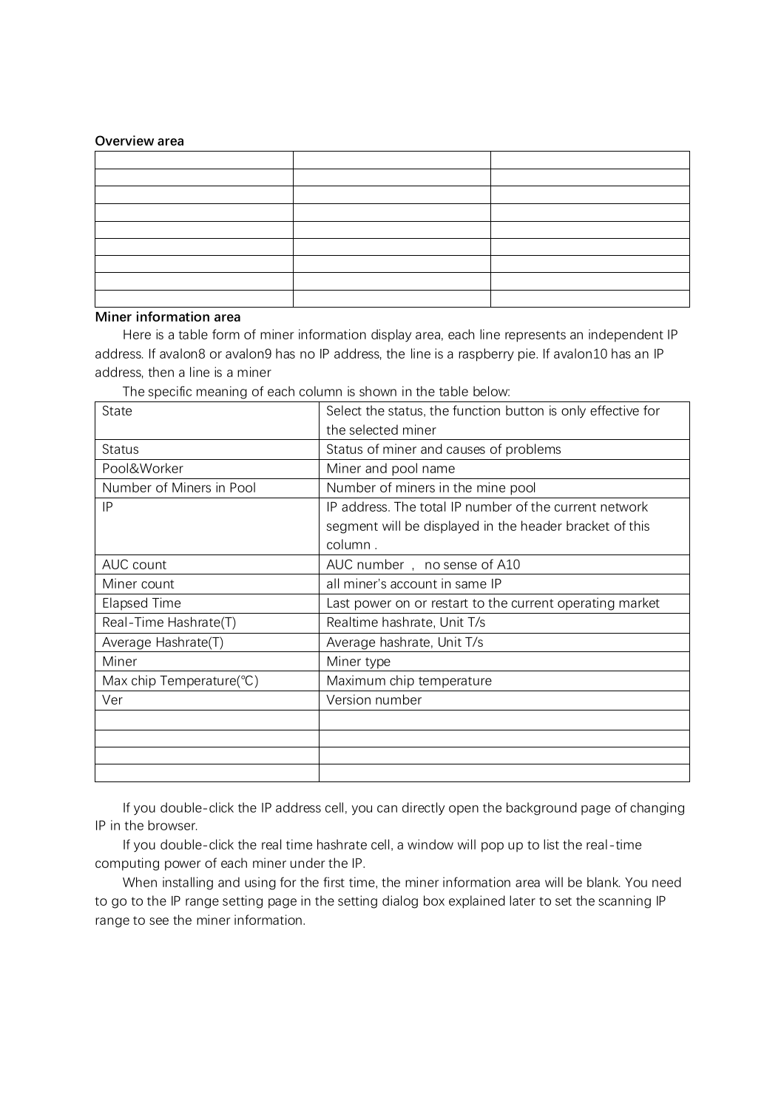#### **Overview area**

## **Miner information area**

Here is a table form of miner information display area, each line represents an independent IP address. If avalon8 or avalon9 has no IP address, the line is a raspberry pie. If avalon10 has an IP address, then a line is a miner

| State                                 | Select the status, the function button is only effective for |  |  |  |  |  |  |
|---------------------------------------|--------------------------------------------------------------|--|--|--|--|--|--|
|                                       | the selected miner                                           |  |  |  |  |  |  |
| <b>Status</b>                         | Status of miner and causes of problems                       |  |  |  |  |  |  |
| Pool&Worker                           | Miner and pool name                                          |  |  |  |  |  |  |
| Number of Miners in Pool              | Number of miners in the mine pool                            |  |  |  |  |  |  |
| IP                                    | IP address. The total IP number of the current network       |  |  |  |  |  |  |
|                                       | segment will be displayed in the header bracket of this      |  |  |  |  |  |  |
|                                       | column.                                                      |  |  |  |  |  |  |
| AUC count                             | AUC number, no sense of A10                                  |  |  |  |  |  |  |
| Miner count                           | all miner's account in same IP                               |  |  |  |  |  |  |
| <b>Elapsed Time</b>                   | Last power on or restart to the current operating market     |  |  |  |  |  |  |
| Real-Time Hashrate(T)                 | Realtime hashrate, Unit T/s                                  |  |  |  |  |  |  |
| Average Hashrate(T)                   | Average hashrate, Unit T/s                                   |  |  |  |  |  |  |
| Miner                                 | Miner type                                                   |  |  |  |  |  |  |
| Max chip Temperature( ${}^{\circ}$ C) | Maximum chip temperature                                     |  |  |  |  |  |  |
| Ver                                   | Version number                                               |  |  |  |  |  |  |
|                                       |                                                              |  |  |  |  |  |  |
|                                       |                                                              |  |  |  |  |  |  |
|                                       |                                                              |  |  |  |  |  |  |
|                                       |                                                              |  |  |  |  |  |  |

The specific meaning of each column is shown in the table below:

If you double-click the IP address cell, you can directly open the background page of changing IP in the browser.

If you double-click the real time hashrate cell, a window will pop up to list the real-time computing power of each miner under the IP.

When installing and using for the first time, the miner information area will be blank. You need to go to the IP range setting page in the setting dialog box explained later to set the scanning IP range to see the miner information.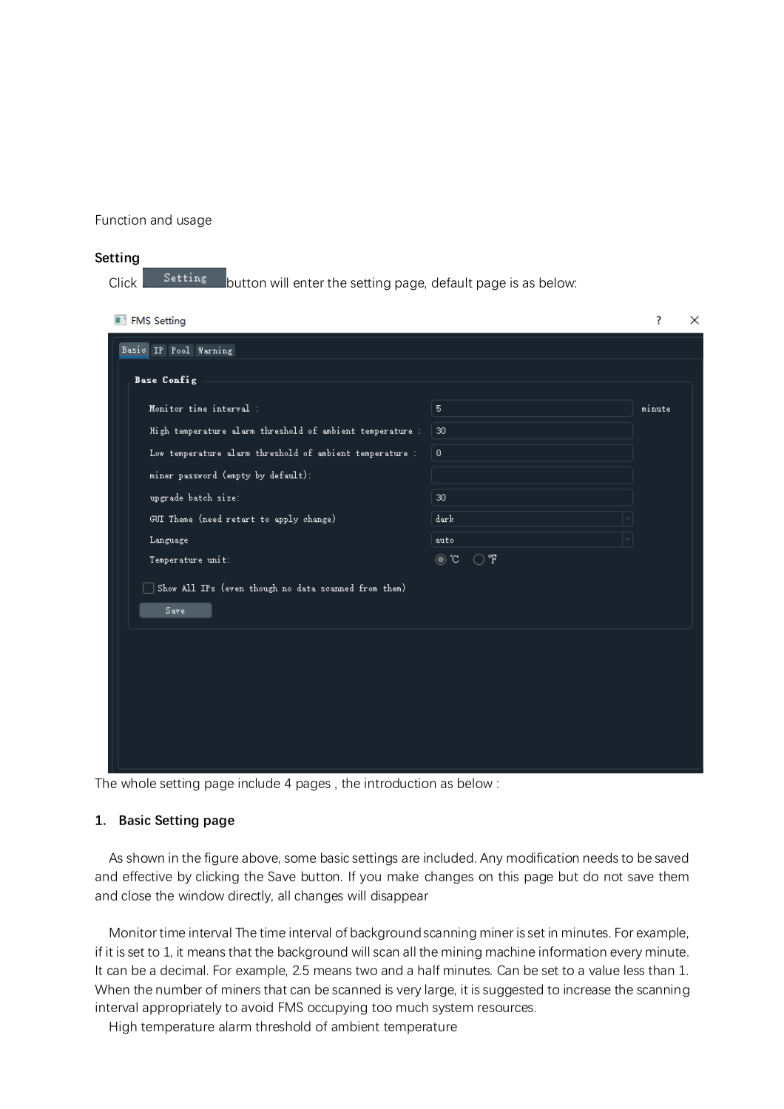Function and usage

#### **Setting**

| Click |  |  |  |  |  | <b>Setting</b> button will enter the setting page, default page is as below: |
|-------|--|--|--|--|--|------------------------------------------------------------------------------|
|-------|--|--|--|--|--|------------------------------------------------------------------------------|

| Basic IP Pool Warning                                                    |
|--------------------------------------------------------------------------|
|                                                                          |
| <b>Base Config</b>                                                       |
| Monitor time interval :<br>minute<br>5                                   |
| High temperature alarm threshold of ambient temperature :<br>30          |
| Low temperature alarm threshold of ambient temperature :<br>$\mathbf{0}$ |
| miner password (empty by default):                                       |
| upgrade batch size:<br>30                                                |
| GUI Theme (need retart to apply change)<br>dark                          |
| Language<br>auto                                                         |
| ⊙ F<br>$\odot$ c<br>Temperature unit:                                    |
| Show All IPs (even though no data scanned from them)                     |
| Save:                                                                    |
|                                                                          |
|                                                                          |
|                                                                          |
|                                                                          |
|                                                                          |
|                                                                          |

The whole setting page include 4 pages , the introduction as below :

#### **1. Basic Setting page**

As shown in the figure above, some basic settings are included. Any modification needs to be saved and effective by clicking the Save button. If you make changes on this page but do not save them and close the window directly, all changes will disappear

Monitor time interval The time interval of background scanning miner is set in minutes. For example, if it is set to 1, it means that the background will scan all the mining machine information every minute. It can be a decimal. For example, 2.5 means two and a half minutes. Can be set to a value less than 1. When the number of miners that can be scanned is very large, it is suggested to increase the scanning interval appropriately to avoid FMS occupying too much system resources.

High temperature alarm threshold of ambient temperature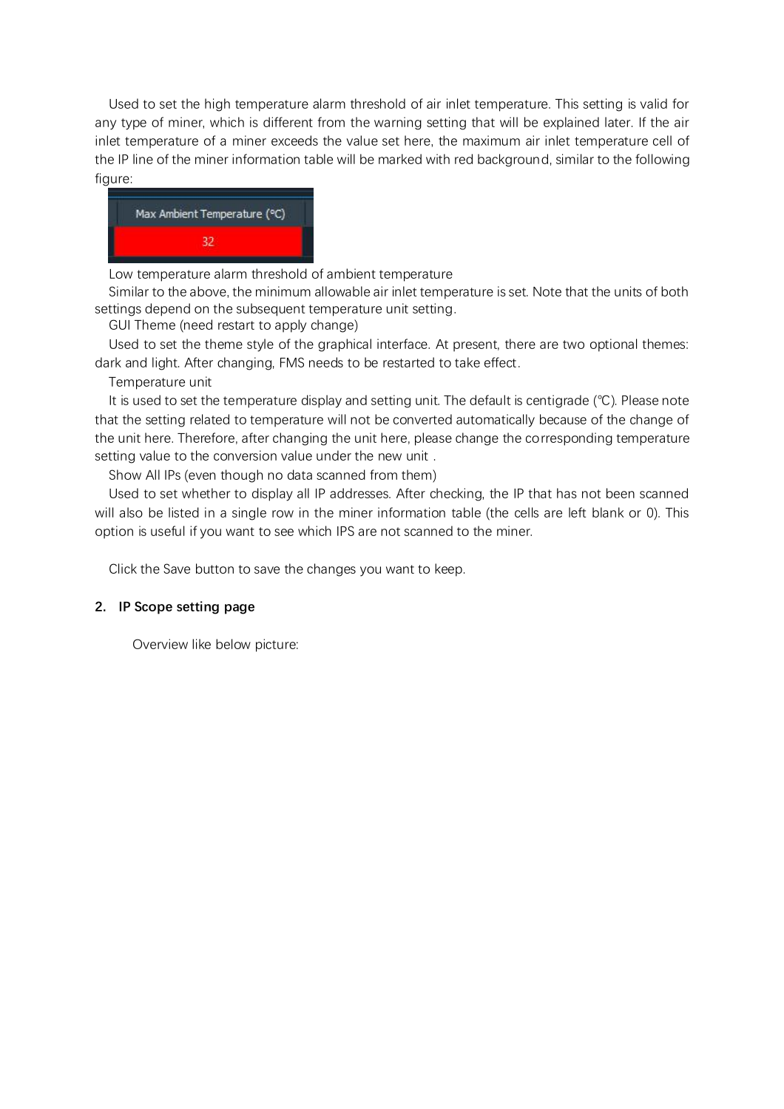Used to set the high temperature alarm threshold of air inlet temperature. This setting is valid for any type of miner, which is different from the warning setting that will be explained later. If the air inlet temperature of a miner exceeds the value set here, the maximum air inlet temperature cell of the IP line of the miner information table will be marked with red background, similar to the following figure:



Low temperature alarm threshold of ambient temperature

Similar to the above, the minimum allowable air inlet temperature is set. Note that the units of both settings depend on the subsequent temperature unit setting.

GUI Theme (need restart to apply change)

Used to set the theme style of the graphical interface. At present, there are two optional themes: dark and light. After changing, FMS needs to be restarted to take effect.

Temperature unit

It is used to set the temperature display and setting unit. The default is centigrade (℃). Please note that the setting related to temperature will not be converted automatically because of the change of the unit here. Therefore, after changing the unit here, please change the corresponding temperature setting value to the conversion value under the new unit .

Show All IPs (even though no data scanned from them)

Used to set whether to display all IP addresses. After checking, the IP that has not been scanned will also be listed in a single row in the miner information table (the cells are left blank or 0). This option is useful if you want to see which IPS are not scanned to the miner.

Click the Save button to save the changes you want to keep.

## **2. IP Scope setting page**

Overview like below picture: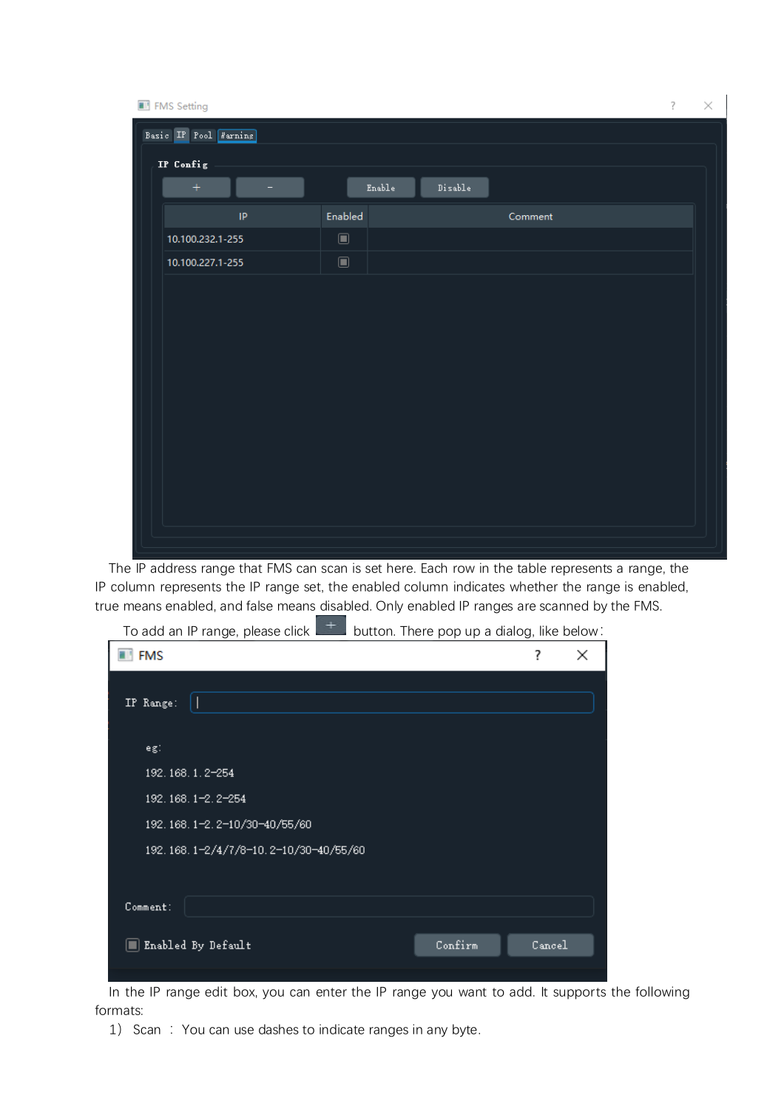

The IP address range that FMS can scan is set here. Each row in the table represents a range, the IP column represents the IP range set, the enabled column indicates whether the range is enabled, true means enabled, and false means disabled. Only enabled IP ranges are scanned by the FMS.



In the IP range edit box, you can enter the IP range you want to add. It supports the following formats:

1) Scan : You can use dashes to indicate ranges in any byte.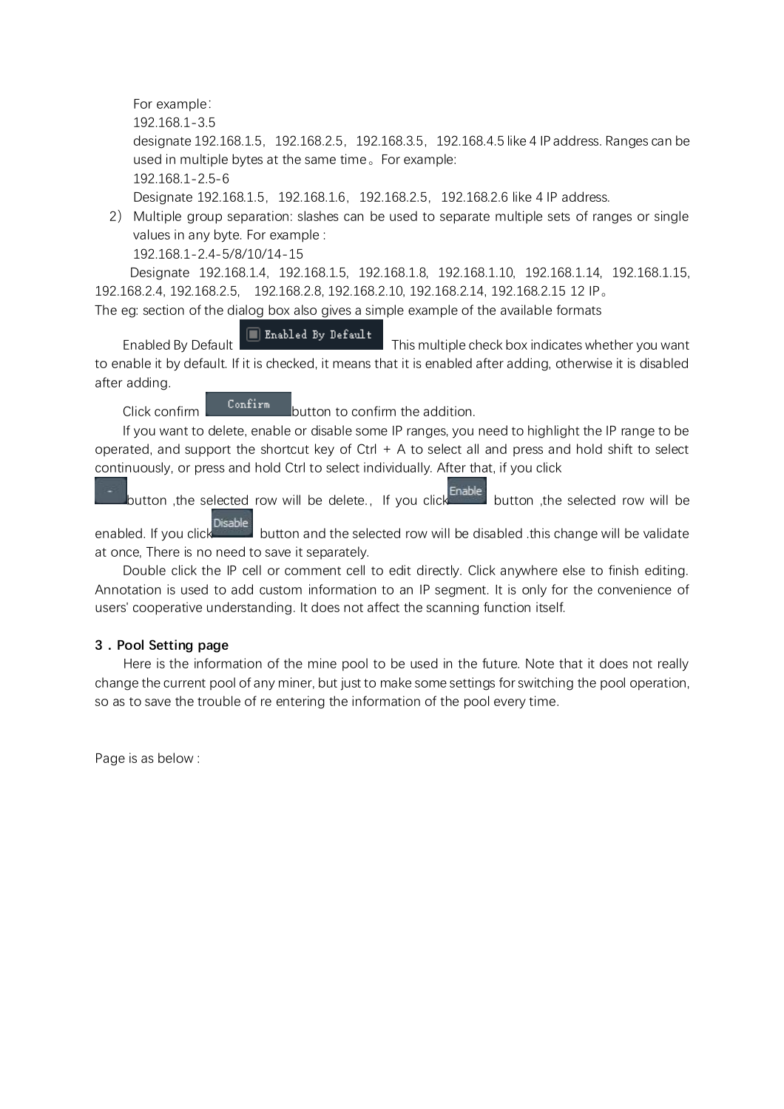For example: 192.168.1-3.5 designate 192.168.1.5,192.168.2.5,192.168.3.5,192.168.4.5 like 4 IP address. Ranges can be used in multiple bytes at the same time。For example: 192.168.1-2.5-6 Designate 192.168.1.5, 192.168.1.6, 192.168.2.5, 192.168.2.6 like 4 IP address.

2) Multiple group separation: slashes can be used to separate multiple sets of ranges or single values in any byte. For example : 192.168.1-2.4-5/8/10/14-15

Designate 192.168.1.4, 192.168.1.5, 192.168.1.8, 192.168.1.10, 192.168.1.14, 192.168.1.15, 192.168.2.4, 192.168.2.5, 192.168.2.8, 192.168.2.10, 192.168.2.14, 192.168.2.15 12 IP。

The eg: section of the dialog box also gives a simple example of the available formats

Enabled By Default  $\Box$  Enabled By Default This multiple check box indicates whether you want to enable it by default. If it is checked, it means that it is enabled after adding, otherwise it is disabled after adding.

 $C$ lick confirm  $\begin{bmatrix} \text{Confirm} \\ \text{button to confirm the addition.} \end{bmatrix}$ 

If you want to delete, enable or disable some IP ranges, you need to highlight the IP range to be operated, and support the shortcut key of  $Ctrl + A$  to select all and press and hold shift to select continuously, or press and hold Ctrl to select individually. After that, if you click

button ,the selected row will be delete., If you click **Enable** button ,the selected row will be

enabled. If you click button and the selected row will be disabled .this change will be validate at once, There is no need to save it separately.

Double click the IP cell or comment cell to edit directly. Click anywhere else to finish editing. Annotation is used to add custom information to an IP segment. It is only for the convenience of users' cooperative understanding. It does not affect the scanning function itself.

# **3.Pool Setting page**

 Here is the information of the mine pool to be used in the future. Note that it does not really change the current pool of any miner, but just to make some settings for switching the pool operation, so as to save the trouble of re entering the information of the pool every time.

Page is as below :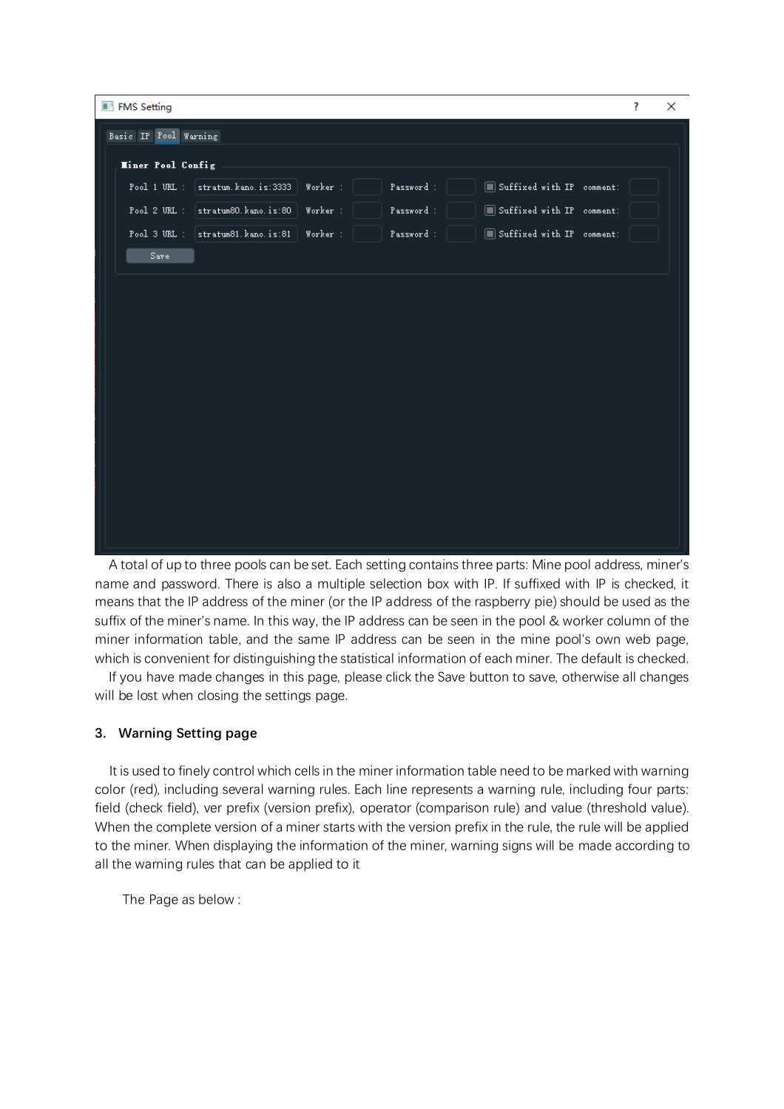| FMS Setting                                                                                                   | ? | × |
|---------------------------------------------------------------------------------------------------------------|---|---|
| Basic IP Pool Warning                                                                                         |   |   |
| <b>Hiner Pool Config</b>                                                                                      |   |   |
| stratum. kano. is:3333<br>Suffixed with IP comment:<br>Pool 1 URL :<br>Worker:<br>Password :                  |   |   |
| stratum80.kano.is:80<br>Suffixed with IP comment:<br>Pool 2 URL :<br>Password :<br>Worker:                    |   |   |
| $\blacksquare$ Suffixed with IP comment:<br>$Pool 3 URL :   stratum81.kano.is:81  $<br>Worker :<br>Password : |   |   |
| Save                                                                                                          |   |   |
|                                                                                                               |   |   |
|                                                                                                               |   |   |
|                                                                                                               |   |   |
|                                                                                                               |   |   |
|                                                                                                               |   |   |
|                                                                                                               |   |   |
|                                                                                                               |   |   |
|                                                                                                               |   |   |
|                                                                                                               |   |   |
|                                                                                                               |   |   |
|                                                                                                               |   |   |
|                                                                                                               |   |   |

A total of up to three pools can be set. Each setting contains three parts: Mine pool address, miner's name and password. There is also a multiple selection box with IP. If suffixed with IP is checked, it means that the IP address of the miner (or the IP address of the raspberry pie) should be used as the suffix of the miner's name. In this way, the IP address can be seen in the pool & worker column of the miner information table, and the same IP address can be seen in the mine pool's own web page, which is convenient for distinguishing the statistical information of each miner. The default is checked.

If you have made changes in this page, please click the Save button to save, otherwise all changes will be lost when closing the settings page.

## **3. Warning Setting page**

 It is used to finely control which cells in the miner information table need to be marked with warning color (red), including several warning rules. Each line represents a warning rule, including four parts: field (check field), ver prefix (version prefix), operator (comparison rule) and value (threshold value). When the complete version of a miner starts with the version prefix in the rule, the rule will be applied to the miner. When displaying the information of the miner, warning signs will be made according to all the warning rules that can be applied to it

The Page as below :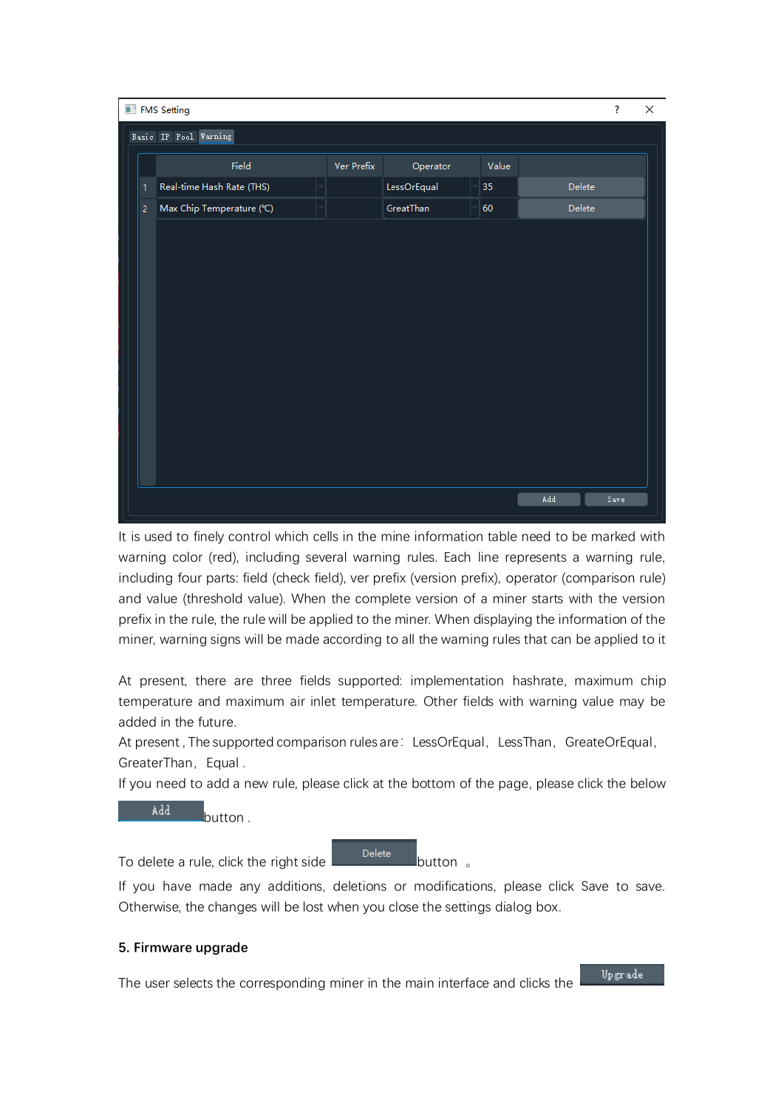| FMS Setting<br>$\overline{\mathcal{E}}$ |                           |                   |             |       |        |      |  |  |
|-----------------------------------------|---------------------------|-------------------|-------------|-------|--------|------|--|--|
|                                         | Basic IP Pool Warning     |                   |             |       |        |      |  |  |
|                                         | Field                     | <b>Ver Prefix</b> | Operator    | Value |        |      |  |  |
| 1                                       | Real-time Hash Rate (THS) |                   | LessOrEqual | 35    | Delete |      |  |  |
| $\overline{2}$                          | Max Chip Temperature (°C) |                   | GreatThan   | 60    | Delete |      |  |  |
|                                         |                           |                   |             |       |        |      |  |  |
|                                         |                           |                   |             |       |        |      |  |  |
|                                         |                           |                   |             |       |        |      |  |  |
|                                         |                           |                   |             |       |        |      |  |  |
|                                         |                           |                   |             |       |        |      |  |  |
|                                         |                           |                   |             |       |        |      |  |  |
|                                         |                           |                   |             |       |        |      |  |  |
|                                         |                           |                   |             |       |        |      |  |  |
|                                         |                           |                   |             |       |        |      |  |  |
|                                         |                           |                   |             |       |        |      |  |  |
|                                         |                           |                   |             |       |        |      |  |  |
|                                         |                           |                   |             |       | Add    | Save |  |  |

It is used to finely control which cells in the mine information table need to be marked with warning color (red), including several warning rules. Each line represents a warning rule, including four parts: field (check field), ver prefix (version prefix), operator (comparison rule) and value (threshold value). When the complete version of a miner starts with the version prefix in the rule, the rule will be applied to the miner. When displaying the information of the miner, warning signs will be made according to all the warning rules that can be applied to it

At present, there are three fields supported: implementation hashrate, maximum chip temperature and maximum air inlet temperature. Other fields with warning value may be added in the future.

At present, The supported comparison rules are: LessOrEqual, LessThan, GreateOrEqual, GreaterThan, Equal.

If you need to add a new rule, please click at the bottom of the page, please click the below

Add **button** 

To delete a rule, click the right side  $\begin{array}{c} \text{Delete} \\ \text{Button} \end{array}$ 

If you have made any additions, deletions or modifications, please click Save to save. Otherwise, the changes will be lost when you close the settings dialog box.

## **5. Firmware upgrade**

The user selects the corresponding miner in the main interface and clicks the

Upgrade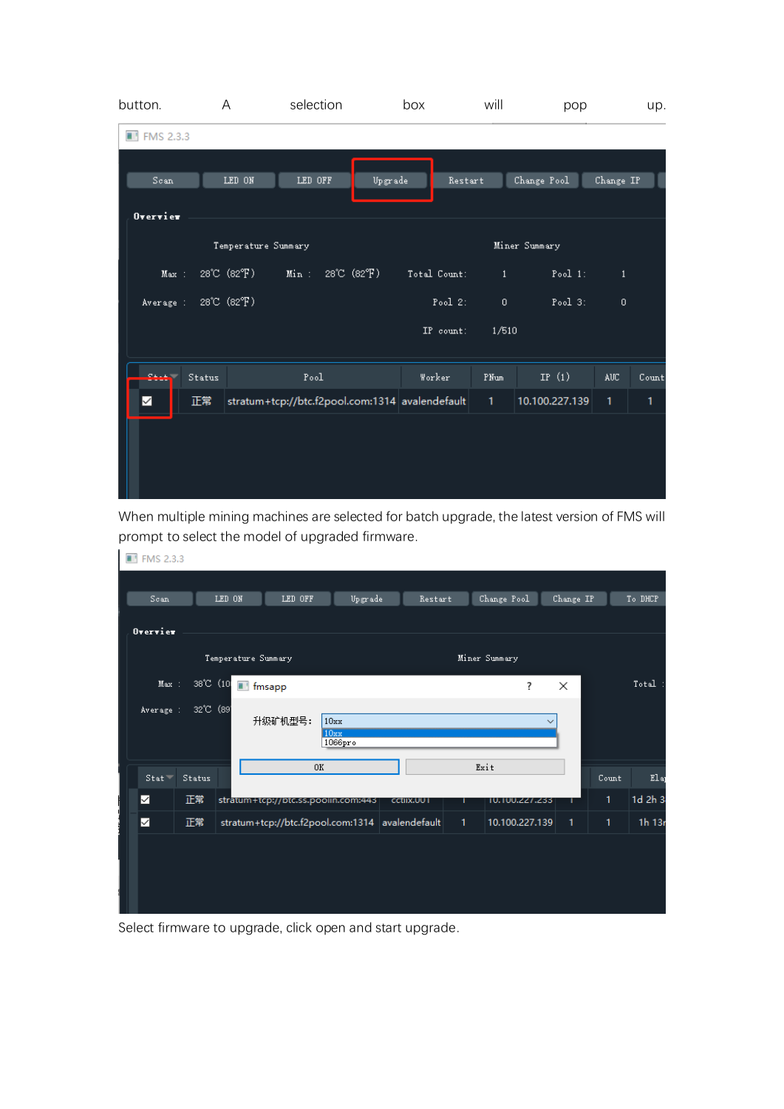| button.            |                     | A           | selection                                       |                                 | box          |            | will          | pop            |                  | up.   |  |  |
|--------------------|---------------------|-------------|-------------------------------------------------|---------------------------------|--------------|------------|---------------|----------------|------------------|-------|--|--|
| <b>T</b> FMS 2.3.3 |                     |             |                                                 |                                 |              |            |               |                |                  |       |  |  |
|                    |                     |             |                                                 |                                 |              |            |               |                |                  |       |  |  |
| Scan:              |                     | LED ON      | LED OFF                                         | Upgrade                         |              | Restart    |               | Change Pool    | Change IP        |       |  |  |
| Overview           |                     |             |                                                 |                                 |              |            |               |                |                  |       |  |  |
|                    | Temperature Summary |             |                                                 |                                 |              |            | Miner Summary |                |                  |       |  |  |
| Max:               |                     | 28°C (82°F) | Min:                                            | $28^{\circ}C$ ( $82^{\circ}F$ ) | Total Count: |            | $\mathbf{1}$  | Pool 1:        | $\mathbf{1}$     |       |  |  |
| Average :          |                     | 28°C (82°F) |                                                 |                                 |              | Pool $2$ : | $\mathbf{0}$  | Pool $3$ :     | $\mathbf{0}$     |       |  |  |
|                    |                     |             |                                                 |                                 | IP count:    |            | 1/510         |                |                  |       |  |  |
| المستع             | Status              |             | Pool                                            |                                 | Worker       |            | PNum          | IP $(1)$       | AUC <sup>1</sup> | Count |  |  |
| $\checkmark$       | 正常                  |             | stratum+tcp://btc.f2pool.com:1314 avalendefault |                                 |              |            | $1 -$         | 10.100.227.139 | 1                | 1     |  |  |
|                    |                     |             |                                                 |                                 |              |            |               |                |                  |       |  |  |
|                    |                     |             |                                                 |                                 |              |            |               |                |                  |       |  |  |
|                    |                     |             |                                                 |                                 |              |            |               |                |                  |       |  |  |

When multiple mining machines are selected for batch upgrade, the latest version of FMS will prompt to select the model of upgraded firmware.

| <b>T</b> FMS 2.3.3       |           |                     |                                     |                  |                                                 |              |                |              |              |         |
|--------------------------|-----------|---------------------|-------------------------------------|------------------|-------------------------------------------------|--------------|----------------|--------------|--------------|---------|
| Scan.                    |           | LED ON              | LED OFF                             | Upgrade          | Restart                                         |              | Change Pool    | Change IP    |              | To DHCP |
| $0$ vervier              |           |                     |                                     |                  |                                                 |              |                |              |              |         |
|                          |           | Temperature Summary |                                     |                  |                                                 |              | Miner Summary  |              |              |         |
| Max:                     | 38°C (10) | <b>T</b> fmsapp     |                                     |                  |                                                 |              | ?              | $\times$     |              | Total:  |
| Average :                | 32°C (89) |                     | 升级矿机型号:                             | 10xx             |                                                 |              |                |              |              |         |
|                          |           |                     |                                     | FIOxx<br>1066pro |                                                 |              |                |              |              |         |
| 0K<br>$Stat =$<br>Status |           |                     |                                     | Exit             |                                                 | Count        | Elap           |              |              |         |
| ✓                        | 正常        |                     | stratum+tcp://btc.ss.pooiin.com:443 |                  | CCUIX.UU I                                      | ٠            | 10.100.227.233 |              | 1            | 1d 2h 3 |
| ✓                        | 正常        |                     |                                     |                  | stratum+tcp://btc.f2pool.com:1314 avalendefault | $\mathbf{1}$ | 10.100.227.139 | $\mathbf{1}$ | $\mathbf{1}$ | 1h 13r  |
|                          |           |                     |                                     |                  |                                                 |              |                |              |              |         |
|                          |           |                     |                                     |                  |                                                 |              |                |              |              |         |
|                          |           |                     |                                     |                  |                                                 |              |                |              |              |         |

Select firmware to upgrade, click open and start upgrade.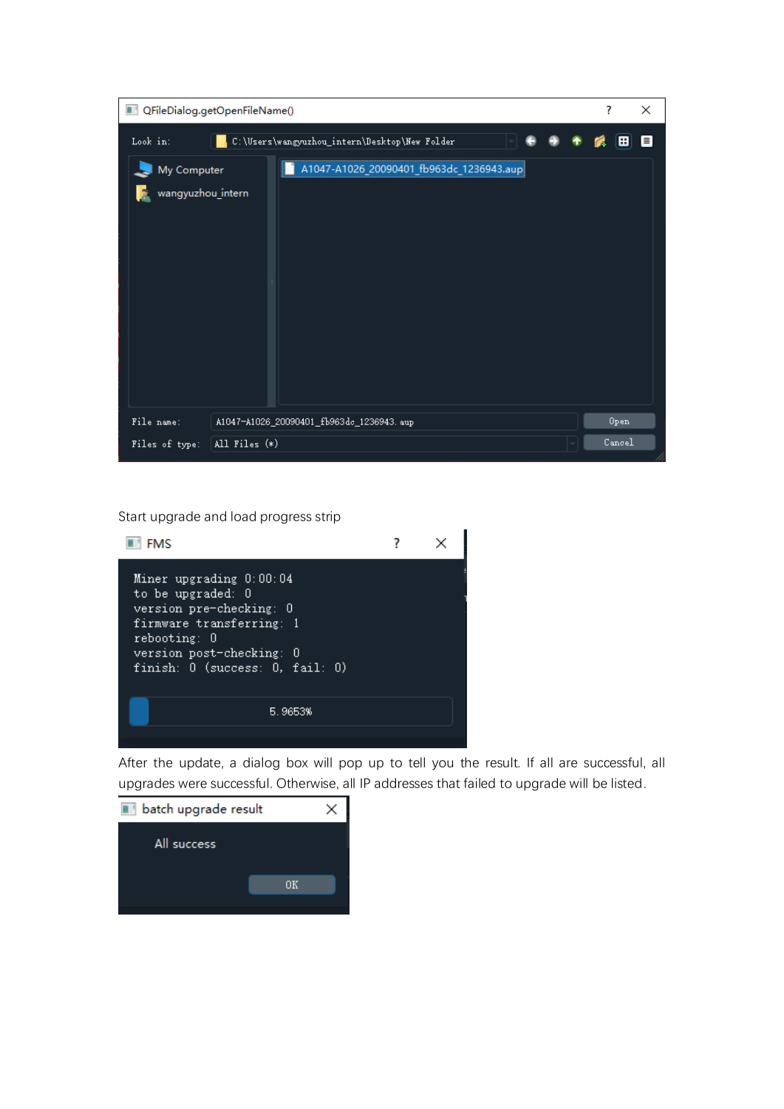Start upgrade and load progress strip



After the update, a dialog box will pop up to tell you the result. If all are successful, all upgrades were successful. Otherwise, all IP addresses that failed to upgrade will be listed.

| batch upgrade result<br>. . |    |  |
|-----------------------------|----|--|
| All success                 |    |  |
|                             | nκ |  |
|                             |    |  |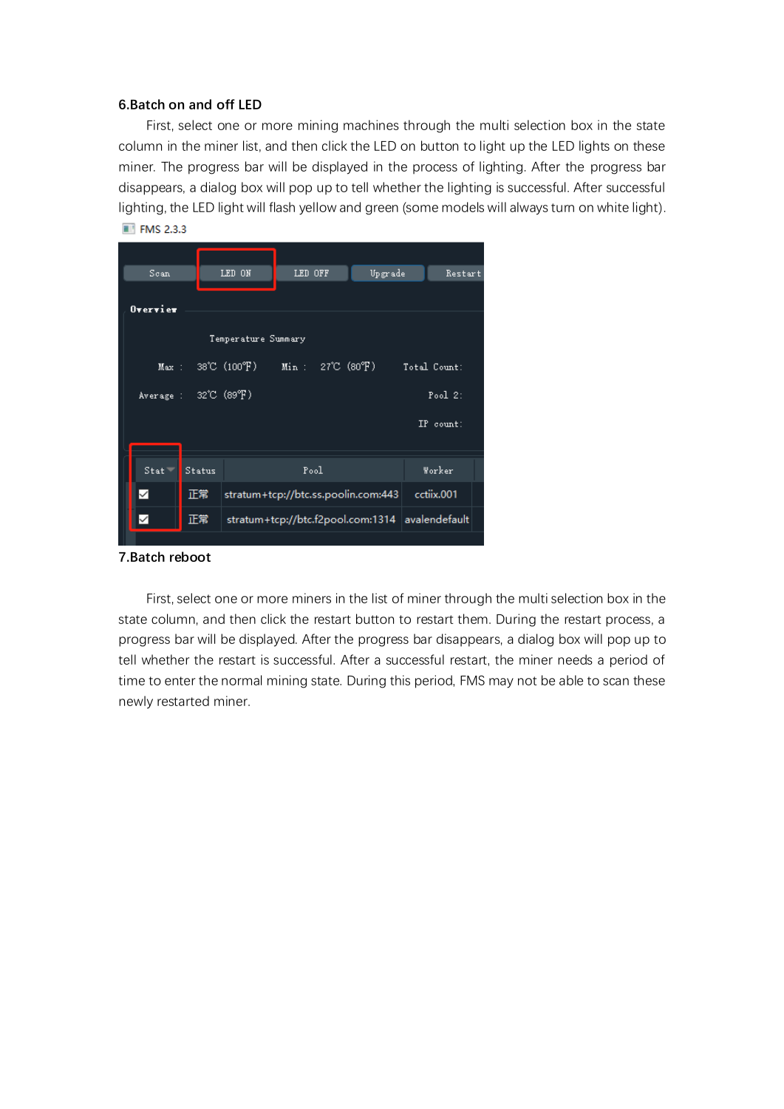#### **6.Batch on and off LED**

First, select one or more mining machines through the multi selection box in the state column in the miner list, and then click the LED on button to light up the LED lights on these miner. The progress bar will be displayed in the process of lighting. After the progress bar disappears, a dialog box will pop up to tell whether the lighting is successful. After successful lighting, the LED light will flash yellow and green (some models will always turn on white light). **ET FMS 2.3.3** 

| Scan     | LED ON                                    |                                        | LED OFF |            | Upgrade |                                                 | Restart      |  |  |  |  |  |  |
|----------|-------------------------------------------|----------------------------------------|---------|------------|---------|-------------------------------------------------|--------------|--|--|--|--|--|--|
| Overvier |                                           |                                        |         |            |         |                                                 |              |  |  |  |  |  |  |
|          |                                           |                                        |         |            |         |                                                 |              |  |  |  |  |  |  |
|          | Temperature Summary                       |                                        |         |            |         |                                                 |              |  |  |  |  |  |  |
|          |                                           | $Max: 38°C (100°F)$ $Min: 27°C (80°F)$ |         |            |         |                                                 | Total Count: |  |  |  |  |  |  |
|          | Average : $32^{\circ}C$ (89 $^{\circ}F$ ) |                                        |         |            |         |                                                 | Pool $2$ :   |  |  |  |  |  |  |
|          |                                           |                                        |         |            |         |                                                 | IP count:    |  |  |  |  |  |  |
|          |                                           |                                        |         |            |         |                                                 |              |  |  |  |  |  |  |
| $Stat =$ | Status                                    |                                        |         | Worker     |         |                                                 |              |  |  |  |  |  |  |
| ✓        | 正常                                        | stratum+tcp://btc.ss.poolin.com:443    |         | cctiix.001 |         |                                                 |              |  |  |  |  |  |  |
| ✓        | 正常                                        |                                        |         |            |         | stratum+tcp://btc.f2pool.com:1314 avalendefault |              |  |  |  |  |  |  |
|          |                                           |                                        |         |            |         |                                                 |              |  |  |  |  |  |  |

#### **7.Batch reboot**

First, select one or more miners in the list of miner through the multi selection box in the state column, and then click the restart button to restart them. During the restart process, a progress bar will be displayed. After the progress bar disappears, a dialog box will pop up to tell whether the restart is successful. After a successful restart, the miner needs a period of time to enter the normal mining state. During this period, FMS may not be able to scan these newly restarted miner.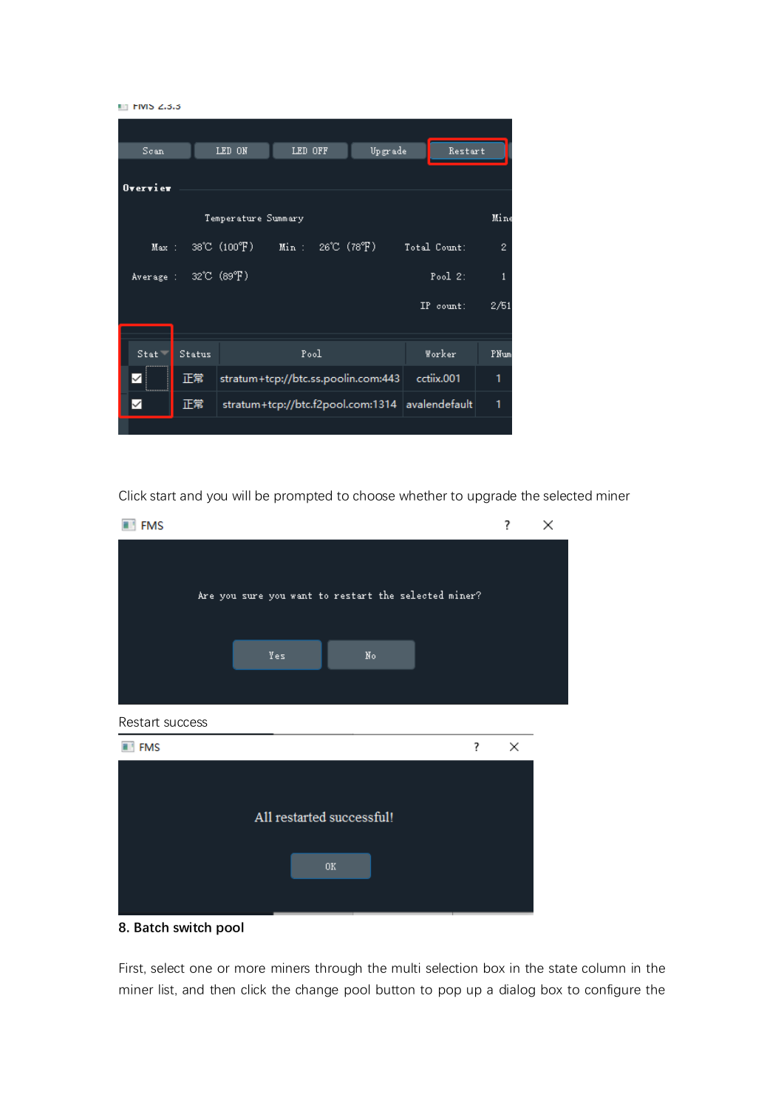



Click start and you will be prompted to choose whether to upgrade the selected miner



**8. Batch switch pool**

First, select one or more miners through the multi selection box in the state column in the miner list, and then click the change pool button to pop up a dialog box to configure the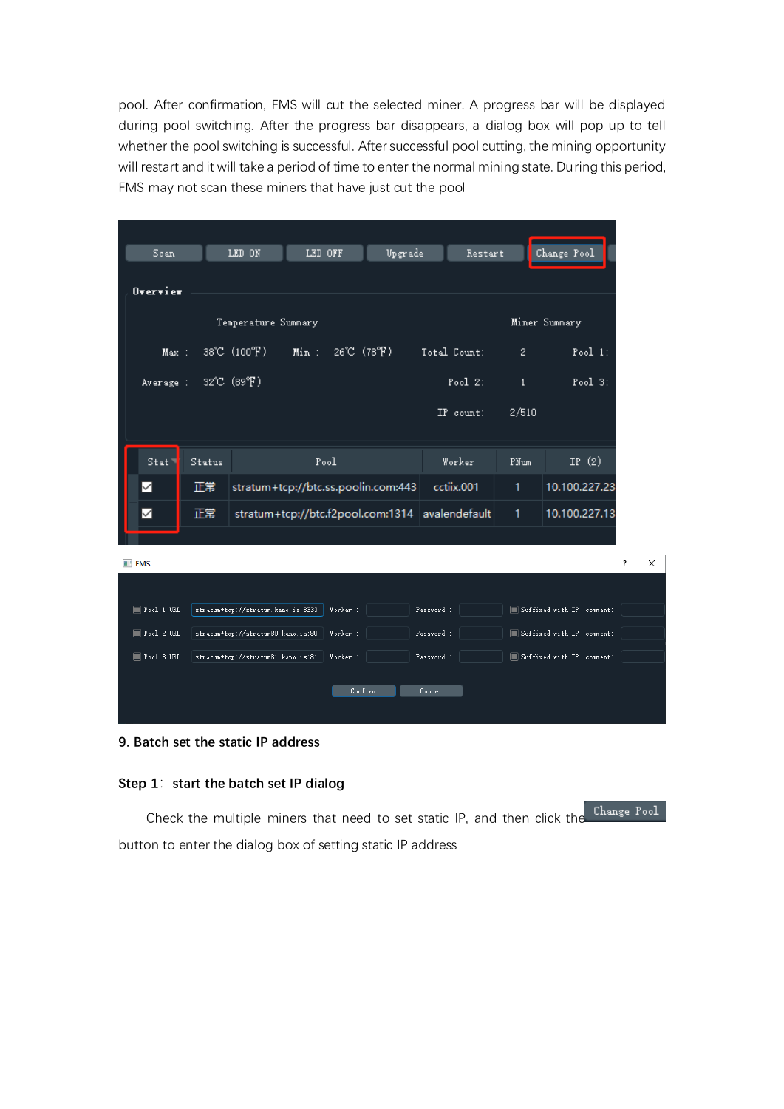pool. After confirmation, FMS will cut the selected miner. A progress bar will be displayed during pool switching. After the progress bar disappears, a dialog box will pop up to tell whether the pool switching is successful. After successful pool cutting, the mining opportunity will restart and it will take a period of time to enter the normal mining state. During this period, FMS may not scan these miners that have just cut the pool

| Scan:                                      |               | LED ON                                            | LED OFF |                                   | Upgrade                                         |              | Restart     |              | Change Pool               |   |
|--------------------------------------------|---------------|---------------------------------------------------|---------|-----------------------------------|-------------------------------------------------|--------------|-------------|--------------|---------------------------|---|
| Overview                                   |               |                                                   |         |                                   |                                                 |              |             |              |                           |   |
|                                            |               | Temperature Summary                               |         |                                   |                                                 |              |             |              | Miner Summary             |   |
| Max:                                       |               | 38°C (100°F)                                      | $Min$ : | $26^{\circ}C$ (78 ${}^{\circ}F$ ) |                                                 | Total Count: |             | $\mathbf{2}$ | Pool $1$ :                |   |
| Average :                                  |               | $32^{\circ}$ C $(89^{\circ}F)$                    |         |                                   |                                                 |              | Pool $2$ :  | $\mathbf{1}$ | Pool $3$ :                |   |
|                                            |               |                                                   |         |                                   |                                                 |              | $IP$ count: | 2/510        |                           |   |
| Stat                                       | <b>Status</b> |                                                   |         | Pool                              |                                                 |              | Worker      | PNum         | IP $(2)$                  |   |
| ✓                                          | 正常            |                                                   |         |                                   | stratum+tcp://btc.ss.poolin.com:443             |              | cctiix.001  | 1            | 10.100.227.23             |   |
| ✓                                          | 正常            |                                                   |         |                                   | stratum+tcp://btc.f2pool.com:1314 avalendefault |              |             | 1            | 10.100.227.13             |   |
|                                            |               |                                                   |         |                                   |                                                 |              |             |              |                           |   |
| $\blacksquare$ FMS                         |               |                                                   |         |                                   |                                                 |              |             |              |                           | ? |
|                                            |               |                                                   |         |                                   |                                                 |              |             |              |                           |   |
| $\blacksquare$ Pool 1 URL :                |               | stratum+tcp://stratum.kano.is:3333                |         | Worker :                          |                                                 | Password :   |             |              | Suffixed with IP comment: |   |
| $\blacksquare$ Pool 2 URL : $\blacksquare$ |               | stratum+tcp://stratum80.kano.is:80                |         | Worker:                           |                                                 | Password:    |             |              | Suffixed with IP comment: |   |
|                                            |               | Fool 3 URL :   stratum+tcp://stratum81.kano.is:81 |         | Worker :                          |                                                 | Password :   |             |              | Suffixed with IP comment: |   |
|                                            |               |                                                   |         |                                   | Confirm                                         | Cancel       |             |              |                           |   |

## **9. Batch set the static IP address**

## **Step 1**:**start the batch set IP dialog**

Change Pool Check the multiple miners that need to set static IP, and then click the button to enter the dialog box of setting static IP address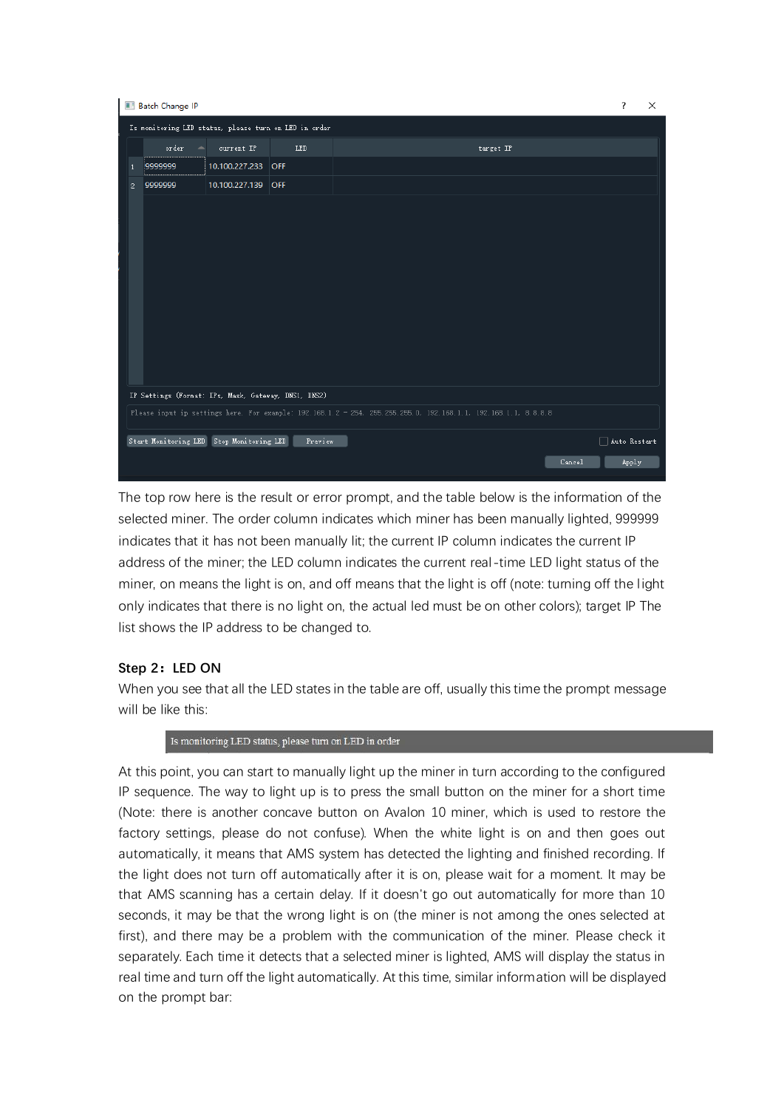|              | <b>Batch Change IP</b> |                                                      |                                                       |                                                                                                                 |        | ?                   | $\times$ |
|--------------|------------------------|------------------------------------------------------|-------------------------------------------------------|-----------------------------------------------------------------------------------------------------------------|--------|---------------------|----------|
|              |                        |                                                      | Is monitoring LED status, please turn on LED in order |                                                                                                                 |        |                     |          |
|              | order                  | current IP                                           | LED                                                   | target IP                                                                                                       |        |                     |          |
|              | 9999999                | 10.100.227.233 OFF                                   |                                                       |                                                                                                                 |        |                     |          |
| $\mathbf{2}$ | 9999999                | 10.100.227.139 OFF                                   |                                                       |                                                                                                                 |        |                     |          |
|              |                        |                                                      |                                                       |                                                                                                                 |        |                     |          |
|              |                        |                                                      |                                                       |                                                                                                                 |        |                     |          |
|              |                        |                                                      |                                                       |                                                                                                                 |        |                     |          |
|              |                        |                                                      |                                                       |                                                                                                                 |        |                     |          |
|              |                        |                                                      |                                                       |                                                                                                                 |        |                     |          |
|              |                        |                                                      |                                                       |                                                                                                                 |        |                     |          |
|              |                        |                                                      |                                                       |                                                                                                                 |        |                     |          |
|              |                        |                                                      |                                                       |                                                                                                                 |        |                     |          |
|              |                        |                                                      |                                                       |                                                                                                                 |        |                     |          |
|              |                        |                                                      |                                                       |                                                                                                                 |        |                     |          |
|              |                        | IP Settings (Format: IPs, Mask, Gateway, DNS1, DNS2) |                                                       |                                                                                                                 |        |                     |          |
|              |                        |                                                      |                                                       | Please input ip settings here. For example: 192.168.1.2 - 254, 255.255.255.0, 192.168.1.1, 192.168.1.1, 8.8.8.8 |        |                     |          |
|              |                        | Start Monitoring LED Stop Monitoring LED             | Preview                                               |                                                                                                                 |        | $\Box$ Auto Restart |          |
|              |                        |                                                      |                                                       |                                                                                                                 | Cancel | Apply               |          |

The top row here is the result or error prompt, and the table below is the information of the selected miner. The order column indicates which miner has been manually lighted, 999999 indicates that it has not been manually lit; the current IP column indicates the current IP address of the miner; the LED column indicates the current real-time LED light status of the miner, on means the light is on, and off means that the light is off (note: turning off the light only indicates that there is no light on, the actual led must be on other colors); target IP The list shows the IP address to be changed to.

## **Step 2:LED ON**

When you see that all the LED states in the table are off, usually this time the prompt message will be like this:

Is monitoring LED status, please turn on LED in order

At this point, you can start to manually light up the miner in turn according to the configured IP sequence. The way to light up is to press the small button on the miner for a short time (Note: there is another concave button on Avalon 10 miner, which is used to restore the factory settings, please do not confuse). When the white light is on and then goes out automatically, it means that AMS system has detected the lighting and finished recording. If the light does not turn off automatically after it is on, please wait for a moment. It may be that AMS scanning has a certain delay. If it doesn't go out automatically for more than 10 seconds, it may be that the wrong light is on (the miner is not among the ones selected at first), and there may be a problem with the communication of the miner. Please check it separately. Each time it detects that a selected miner is lighted, AMS will display the status in real time and turn off the light automatically. At this time, similar information will be displayed on the prompt bar: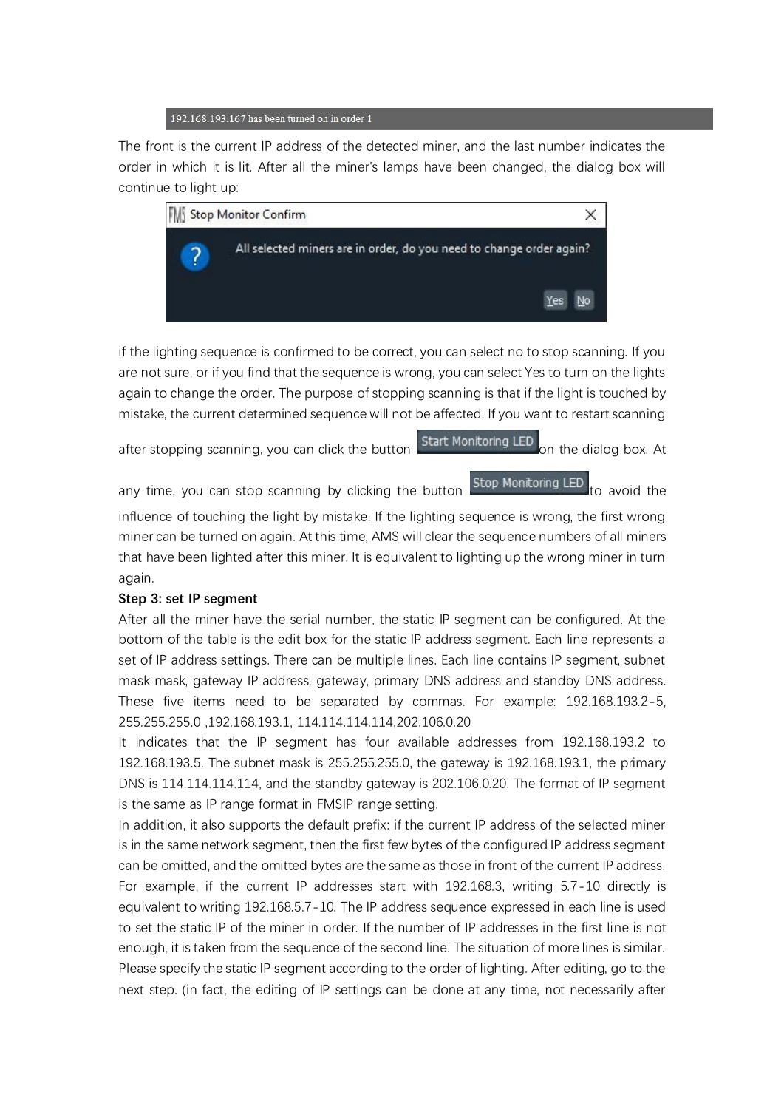

The front is the current IP address of the detected miner, and the last number indicates the order in which it is lit. After all the miner's lamps have been changed, the dialog box will continue to light up:



if the lighting sequence is confirmed to be correct, you can select no to stop scanning. If you are not sure, or if you find that the sequence is wrong, you can select Yes to turn on the lights again to change the order. The purpose of stopping scanning is that if the light is touched by mistake, the current determined sequence will not be affected. If you want to restart scanning

after stopping scanning, you can click the button Start Monitoring LED on the dialog box. At

any time, you can stop scanning by clicking the button  $\overline{\text{Stop<sup>Monitoring LED</sup> to avoid the$ 

influence of touching the light by mistake. If the lighting sequence is wrong, the first wrong miner can be turned on again. At this time, AMS will clear the sequence numbers of all miners that have been lighted after this miner. It is equivalent to lighting up the wrong miner in turn again.

## **Step 3: set IP segment**

After all the miner have the serial number, the static IP segment can be configured. At the bottom of the table is the edit box for the static IP address segment. Each line represents a set of IP address settings. There can be multiple lines. Each line contains IP segment, subnet mask mask, gateway IP address, gateway, primary DNS address and standby DNS address. These five items need to be separated by commas. For example: 192.168.193.2-5, 255.255.255.0 ,192.168.193.1, 114.114.114.114,202.106.0.20

It indicates that the IP segment has four available addresses from 192.168.193.2 to 192.168.193.5. The subnet mask is 255.255.255.0, the gateway is 192.168.193.1, the primary DNS is 114.114.114.114, and the standby gateway is 202.106.0.20. The format of IP segment is the same as IP range format in FMSIP range setting.

In addition, it also supports the default prefix: if the current IP address of the selected miner is in the same network segment, then the first few bytes of the configured IP address segment can be omitted, and the omitted bytes are the same as those in front of the current IP address. For example, if the current IP addresses start with 192.168.3, writing 5.7-10 directly is equivalent to writing 192.168.5.7-10. The IP address sequence expressed in each line is used to set the static IP of the miner in order. If the number of IP addresses in the first line is not enough, it is taken from the sequence of the second line. The situation of more lines is similar. Please specify the static IP segment according to the order of lighting. After editing, go to the next step. (in fact, the editing of IP settings can be done at any time, not necessarily after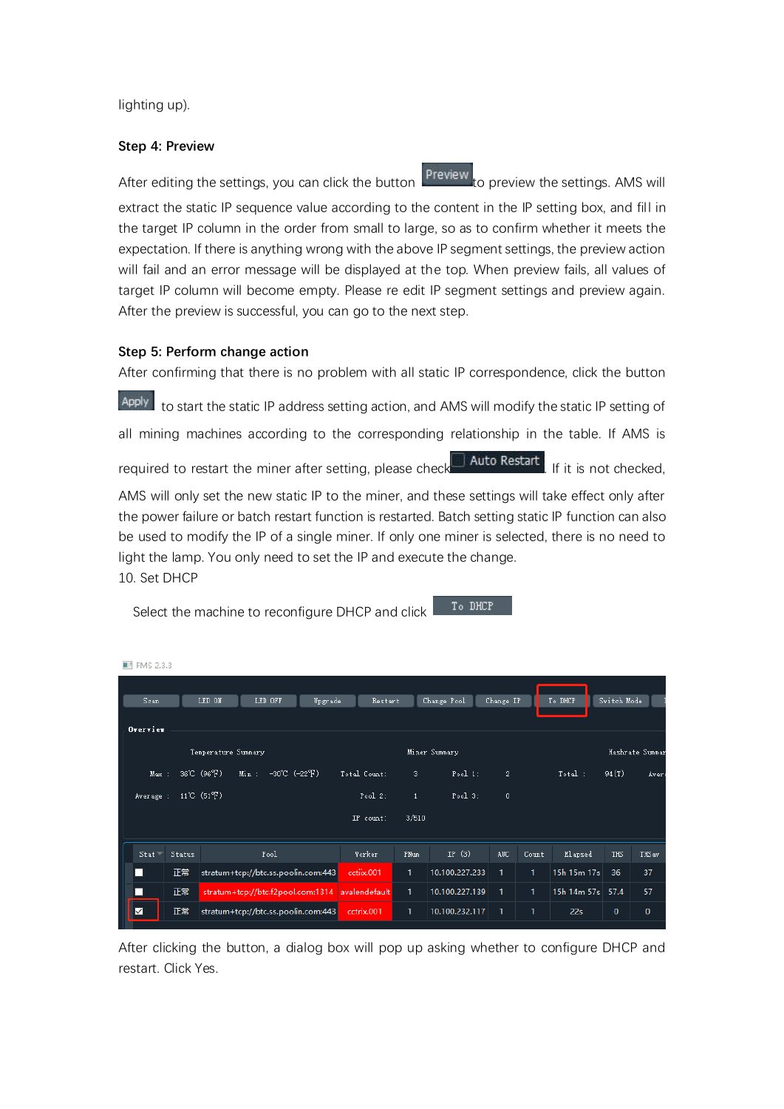lighting up).

 $\overline{m}$  response

#### **Step 4: Preview**

After editing the settings, you can click the button  $\frac{P}{P}$  preview the settings. AMS will

extract the static IP sequence value according to the content in the IP setting box, and fill in the target IP column in the order from small to large, so as to confirm whether it meets the expectation. If there is anything wrong with the above IP segment settings, the preview action will fail and an error message will be displayed at the top. When preview fails, all values of target IP column will become empty. Please re edit IP segment settings and preview again. After the preview is successful, you can go to the next step.

## **Step 5: Perform change action**

After confirming that there is no problem with all static IP correspondence, click the button Apply to start the static IP address setting action, and AMS will modify the static IP setting of all mining machines according to the corresponding relationship in the table. If AMS is required to restart the miner after setting, please check  $\Box$  Auto Restart . If it is not checked, AMS will only set the new static IP to the miner, and these settings will take effect only after the power failure or batch restart function is restarted. Batch setting static IP function can also be used to modify the IP of a single miner. If only one miner is selected, there is no need to light the lamp. You only need to set the IP and execute the change. 10. Set DHCP

Select the machine to reconfigure DHCP and click

| To DHCP. |
|----------|
|          |
|          |

| <b>ELI FIVIS 4.3.3</b> |        |                      |                                                 |         |              |       |                |              |       |             |             |                 |
|------------------------|--------|----------------------|-------------------------------------------------|---------|--------------|-------|----------------|--------------|-------|-------------|-------------|-----------------|
| Scan                   |        | LED ON               | LED OFF                                         | Upgrade | Restart      |       | Change Pool    | Change IP    |       | To DHCP     | Switch Mode |                 |
| $0$ vervier            |        |                      |                                                 |         |              |       |                |              |       |             |             |                 |
|                        |        | Temperature Summary  |                                                 |         |              |       | Miner Summary  |              |       |             |             | Hashrate Summar |
| Max:                   |        | 36°C (96°F)          | $-30^{\circ}$ C ( $-22^{\circ}$ F)<br>Min :     |         | Total Count: | з.    | Pool 1:        | $\mathbf{2}$ |       | Total:      | 94(T)       | Aver:           |
| Average :              |        | 11°C $(51^{\circ}F)$ |                                                 |         | Pool $2$ :   | $1\,$ | Pool $3$ :     | $\mathbf 0$  |       |             |             |                 |
|                        |        |                      |                                                 |         | IP count:    | 3/510 |                |              |       |             |             |                 |
| Stat                   | Status |                      | Pool                                            |         | Worker       | PNum  | IP $(3)$       | AUC.         | Count | Elapsed     | <b>THS</b>  | THS av          |
| Ш                      | 正常     |                      | stratum+tcp://btc.ss.poolin.com:443             |         | cctiix.001   | 1     | 10.100.227.233 | 1.           | 1     | 15h 15m 17s | 36          | 37              |
|                        | 正常     |                      | stratum+tcp://btc.f2pool.com:1314 avalendefault |         |              | 1     | 10.100.227.139 | 1            | 1     | 15h 14m 57s | 57.4        | 57              |
| ☑                      | 正常     |                      | stratum+tcp://btc.ss.poolin.com:443             |         | cctrix.001   | 1     | 10.100.232.117 | 1            | 1     | 22s         | $\mathbf 0$ | 0               |

After clicking the button, a dialog box will pop up asking whether to configure DHCP and restart. Click Yes.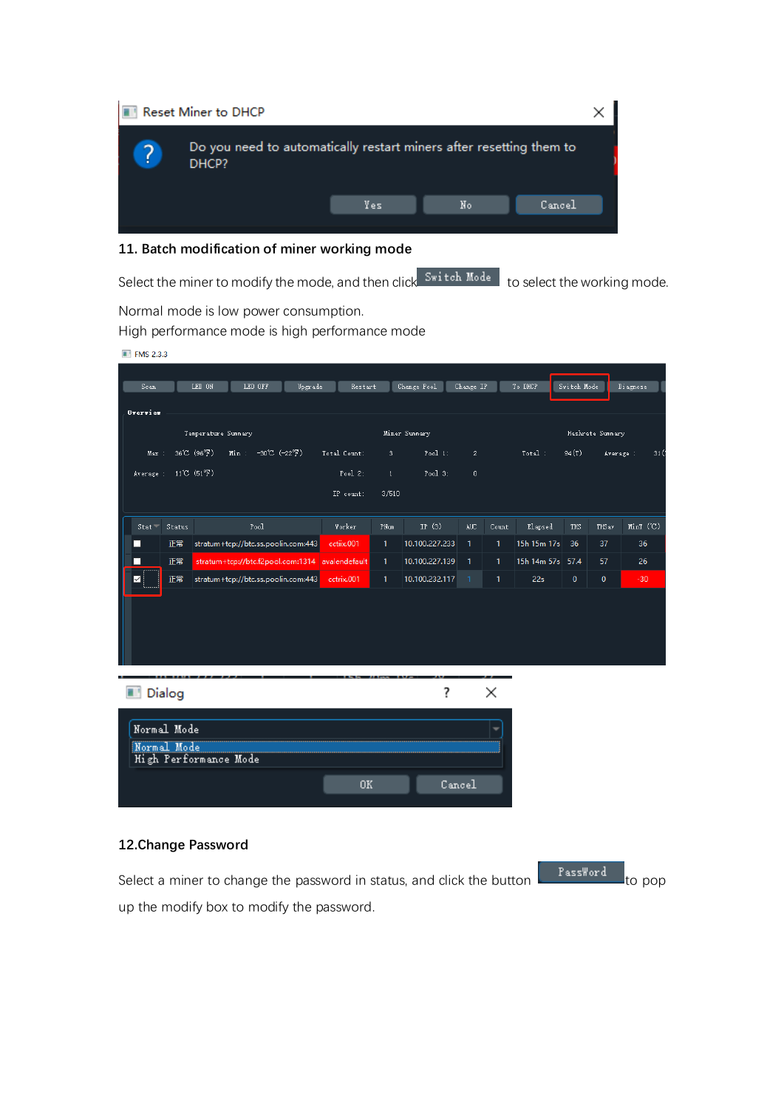

## **11. Batch modification of miner working mode**

Select the miner to modify the mode, and then click Switch Mode to select the working mode.

Normal mode is low power consumption.

High performance mode is high performance mode

| <b>THE FMS 2.3.3</b> |             |                            |                                                 |         |              |              |                |                |       |                  |             |                  |           |
|----------------------|-------------|----------------------------|-------------------------------------------------|---------|--------------|--------------|----------------|----------------|-------|------------------|-------------|------------------|-----------|
|                      |             |                            |                                                 |         |              |              |                |                |       |                  |             |                  |           |
| Scan.                |             | LED ON                     | LED OFF                                         | Upgrade | Restart      |              | Change Pool    | Change IP      |       | To DHCP          | Switch Mode |                  | Diagnose  |
| Overview             |             |                            |                                                 |         |              |              |                |                |       |                  |             |                  |           |
|                      |             | Temperature Summary        |                                                 |         |              |              | Miner Summary  |                |       |                  |             | Hashrate Summary |           |
| Max:                 |             | 36°C (96°F)                | $-30^{\circ}$ C $(-22^{\circ}F)$<br>Min :       |         | Total Count: | 3.           | Pool $1$ :     | $\mathbf{2}^-$ |       | Total:           | 94(T)       | Average :        | 31 (°     |
| Average :            |             | $11^{\circ}C(51^{\circ}F)$ |                                                 |         | Pool $2$ :   | $\mathbf{1}$ | Pool $3$ :     | $\mathbf{0}$   |       |                  |             |                  |           |
|                      |             |                            |                                                 |         | IP count:    | 3/510        |                |                |       |                  |             |                  |           |
|                      |             |                            |                                                 |         |              |              |                |                |       |                  |             |                  |           |
| Stat                 | Status      |                            | Pool                                            |         | Worker       | PNum         | IP $(3)$       | AUC.           | Count | Elapsed          | <b>THS</b>  | THS av           | MinT (°C) |
| П                    | 正常          |                            | stratum+tcp://btc.ss.poolin.com:443             |         | cctiix.001   | 1            | 10.100.227.233 | $\mathbf{1}$   | 1.    | 15h 15m 17s      | 36          | 37               | 36        |
| П                    | 正常          |                            | stratum+tcp://btc.f2pool.com:1314 avalendefault |         |              | 1.           | 10.100.227.139 | $\mathbf{1}$   | 1.    | 15h 14m 57s 57.4 |             | 57               | 26        |
| ✓                    | 正常          |                            | stratum+tcp://btc.ss.poolin.com:443             |         | cctrix.001   | 1            | 10.100.232.117 | 1.             | 1.    | 22s              | $\mathbf 0$ | $\mathbf 0$      | $-30$     |
|                      |             |                            |                                                 |         |              |              |                |                |       |                  |             |                  |           |
|                      |             |                            |                                                 |         |              |              |                |                |       |                  |             |                  |           |
|                      |             |                            |                                                 |         |              |              |                |                |       |                  |             |                  |           |
|                      |             |                            |                                                 |         |              |              |                |                |       |                  |             |                  |           |
|                      |             |                            |                                                 |         |              |              |                |                |       |                  |             |                  |           |
| <b>Dialog</b>        |             |                            |                                                 |         |              |              | ?              |                | ×     |                  |             |                  |           |
|                      |             |                            |                                                 |         |              |              |                |                |       |                  |             |                  |           |
|                      | Normal Mode |                            |                                                 |         |              |              |                |                |       |                  |             |                  |           |
| Normal Mode          |             |                            |                                                 |         |              |              |                |                |       |                  |             |                  |           |
|                      |             | High Performance Mode      |                                                 |         |              |              |                |                |       |                  |             |                  |           |
|                      |             |                            |                                                 |         | 0K           |              |                | Cancel         |       |                  |             |                  |           |
|                      |             |                            |                                                 |         |              |              |                |                |       |                  |             |                  |           |

## **12.Change Password**

Select a miner to change the password in status, and click the button **the seam of the pop** to pop up the modify box to modify the password.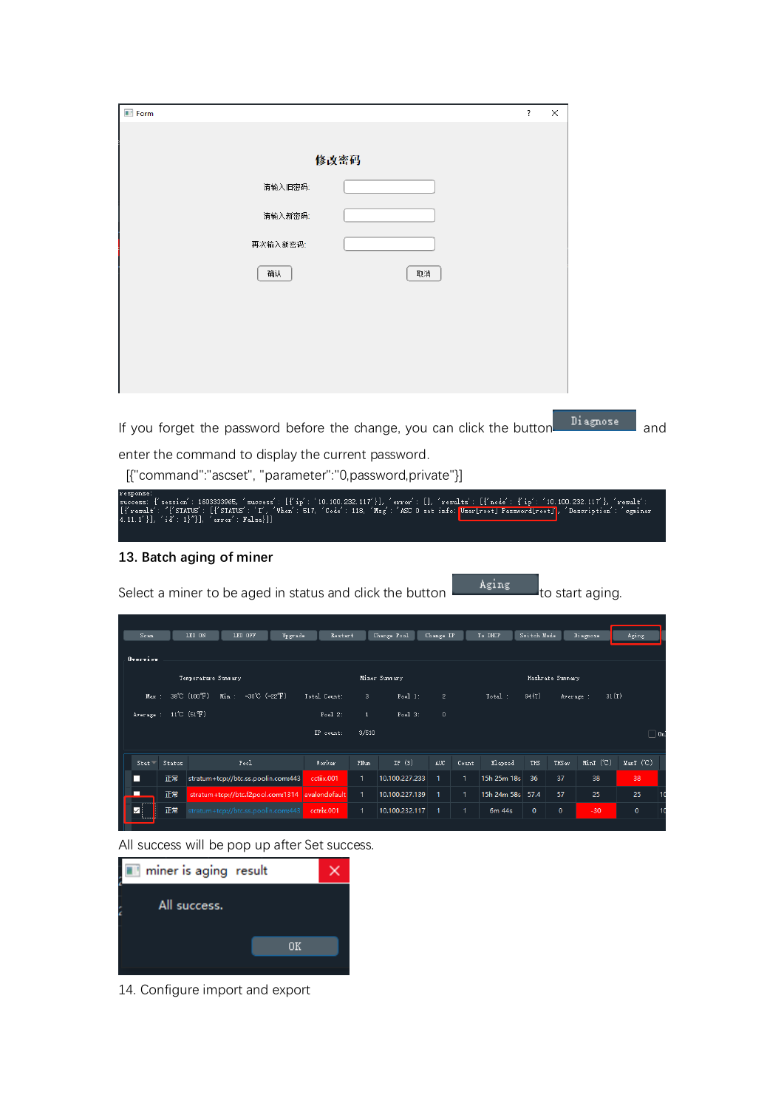| <b>Form</b>                                                                                                                                                                                                                                                                                                                                     |                                           |                          |              |                  | ?           | ×                |                         |           |            |  |  |  |  |
|-------------------------------------------------------------------------------------------------------------------------------------------------------------------------------------------------------------------------------------------------------------------------------------------------------------------------------------------------|-------------------------------------------|--------------------------|--------------|------------------|-------------|------------------|-------------------------|-----------|------------|--|--|--|--|
|                                                                                                                                                                                                                                                                                                                                                 |                                           |                          |              |                  |             |                  |                         |           |            |  |  |  |  |
|                                                                                                                                                                                                                                                                                                                                                 |                                           |                          |              |                  |             |                  |                         |           |            |  |  |  |  |
|                                                                                                                                                                                                                                                                                                                                                 |                                           |                          |              |                  |             |                  |                         |           |            |  |  |  |  |
|                                                                                                                                                                                                                                                                                                                                                 | 请输入旧密码:                                   |                          |              |                  |             |                  |                         |           |            |  |  |  |  |
|                                                                                                                                                                                                                                                                                                                                                 | 请输入新密码:                                   |                          |              |                  |             |                  |                         |           |            |  |  |  |  |
| 再次输入新密码:                                                                                                                                                                                                                                                                                                                                        |                                           |                          |              |                  |             |                  |                         |           |            |  |  |  |  |
| 确认                                                                                                                                                                                                                                                                                                                                              |                                           | 取消                       |              |                  |             |                  |                         |           |            |  |  |  |  |
|                                                                                                                                                                                                                                                                                                                                                 |                                           |                          |              |                  |             |                  |                         |           |            |  |  |  |  |
|                                                                                                                                                                                                                                                                                                                                                 |                                           |                          |              |                  |             |                  |                         |           |            |  |  |  |  |
|                                                                                                                                                                                                                                                                                                                                                 |                                           |                          |              |                  |             |                  |                         |           |            |  |  |  |  |
|                                                                                                                                                                                                                                                                                                                                                 |                                           |                          |              |                  |             |                  |                         |           |            |  |  |  |  |
|                                                                                                                                                                                                                                                                                                                                                 |                                           |                          |              |                  |             |                  |                         |           |            |  |  |  |  |
| If you forget the password before the change, you can click the button                                                                                                                                                                                                                                                                          |                                           |                          |              |                  |             |                  | Diagnose                |           | and        |  |  |  |  |
| enter the command to display the current password.                                                                                                                                                                                                                                                                                              |                                           |                          |              |                  |             |                  |                         |           |            |  |  |  |  |
| [{"command":"ascset", "parameter":"0,password,private"}]                                                                                                                                                                                                                                                                                        |                                           |                          |              |                  |             |                  |                         |           |            |  |  |  |  |
| response:<br>success: {'session': 1603333965, 'success': [{'ip': '10.100.232.117'}], 'error': [], 'results': [{'node': {'ip': '10.100.232.117'}, 'result':<br>[f result': "{'STATUS': [f'STATUS': 'I', 'When': 517, 'Code': 118, 'Msg': 'ASC 0 set info: <mark>User Proot] Password[root]</mark> ,<br>4.11.1'}], 'id': 1}"}], 'error': False}]} |                                           |                          |              |                  |             |                  | 'Description': 'cgminer |           |            |  |  |  |  |
| 13. Batch aging of miner                                                                                                                                                                                                                                                                                                                        |                                           |                          |              |                  |             |                  |                         |           |            |  |  |  |  |
|                                                                                                                                                                                                                                                                                                                                                 |                                           |                          |              |                  |             |                  |                         |           |            |  |  |  |  |
| Select a miner to be aged in status and click the button                                                                                                                                                                                                                                                                                        |                                           |                          |              | Aging            |             |                  | lto start aging.        |           |            |  |  |  |  |
|                                                                                                                                                                                                                                                                                                                                                 |                                           |                          |              |                  |             |                  |                         |           |            |  |  |  |  |
| LED ON<br>LED OFF<br>Scan<br>Upgrade                                                                                                                                                                                                                                                                                                            | Restart                                   | Change Pool<br>Change IP |              | To DHCP          | Switch Mode |                  | Diagnose                | Aging     |            |  |  |  |  |
| Overview                                                                                                                                                                                                                                                                                                                                        |                                           |                          |              |                  |             |                  |                         |           |            |  |  |  |  |
| Temperature Summary                                                                                                                                                                                                                                                                                                                             |                                           | Miner Summary            |              |                  |             | Hashrate Summary |                         |           |            |  |  |  |  |
| 38°C (100°F)<br>Min :<br>$-30^{\circ}$ C ( $-22^{\circ}$ F)<br>Max<br>$11^{\circ}$ C (51 $^{\circ}$ F)<br>Average :                                                                                                                                                                                                                             | Total Count:<br>3<br>$Pool2$ :<br>$\,1\,$ | Pool 1:<br>Pool3:        | 2<br>$\bf 0$ | Total:           | 94(T)       | Average :        | 31(T)                   |           |            |  |  |  |  |
|                                                                                                                                                                                                                                                                                                                                                 | 3/510<br>IP count:                        |                          |              |                  |             |                  |                         |           | $\Box$ 0n] |  |  |  |  |
| $_{\tt Pool}$<br>$Stat =$<br>Status                                                                                                                                                                                                                                                                                                             | Worker<br>PNum                            | IP $(3)$<br><b>AUC</b>   | Count        | Elapsed          | THS         | THS av           | MinT (°C)               | MaxT (°C) |            |  |  |  |  |
| stratum+tcp://btc.ss.poolin.com:443<br>□<br>正常                                                                                                                                                                                                                                                                                                  | cctiix.001<br>1                           | 10.100.227.233<br>1      | 1.           | 15h 25m 18s      | 36          | 37               | 38                      | 38        |            |  |  |  |  |
| □<br>正常<br>stratum+tcp://btc.f2pool.com:1314                                                                                                                                                                                                                                                                                                    | 1<br>avalendefault                        | 10.100.227.139<br>1      | 1            | 15h 24m 58s 57.4 |             | 57               | 25                      | 25        | 10         |  |  |  |  |
| 正常<br>stratum+tcp://btc.ss.poolin.com:443<br>✓                                                                                                                                                                                                                                                                                                  | cctrix.001<br>1                           | 10.100.232.117<br>1      | 1            | 6m 44s           | $\pmb{0}$   | 0                | $-30$                   | $\pmb{0}$ | 10         |  |  |  |  |

All success will be pop up after Set success.



14. Configure import and export